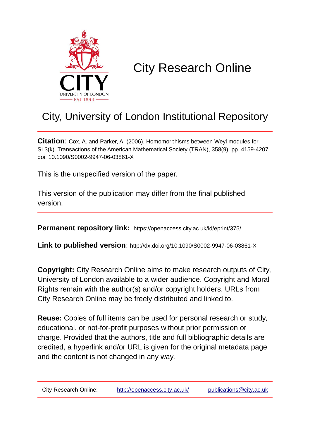

# City Research Online

# City, University of London Institutional Repository

**Citation**: Cox, A. and Parker, A. (2006). Homomorphisms between Weyl modules for SL3(k). Transactions of the American Mathematical Society (TRAN), 358(9), pp. 4159-4207. doi: 10.1090/S0002-9947-06-03861-X

This is the unspecified version of the paper.

This version of the publication may differ from the final published version.

**Permanent repository link:** https://openaccess.city.ac.uk/id/eprint/375/

**Link to published version**: http://dx.doi.org/10.1090/S0002-9947-06-03861-X

**Copyright:** City Research Online aims to make research outputs of City, University of London available to a wider audience. Copyright and Moral Rights remain with the author(s) and/or copyright holders. URLs from City Research Online may be freely distributed and linked to.

**Reuse:** Copies of full items can be used for personal research or study, educational, or not-for-profit purposes without prior permission or charge. Provided that the authors, title and full bibliographic details are credited, a hyperlink and/or URL is given for the original metadata page and the content is not changed in any way.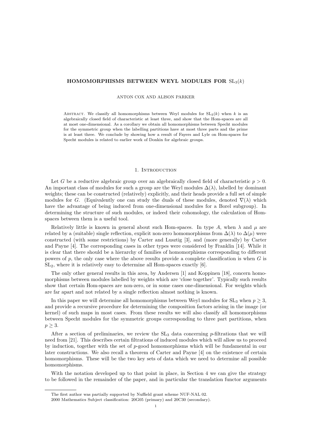#### HOMOMORPHISMS BETWEEN WEYL MODULES FOR  $SL_3(k)$

#### ANTON COX AND ALISON PARKER

ABSTRACT. We classify all homomorphisms between Weyl modules for  $SL_3(k)$  when k is an algebraically closed field of characteristic at least three, and show that the Hom-spaces are all at most one-dimensional. As a corollary we obtain all homomorphisms between Specht modules for the symmetric group when the labelling partitions have at most three parts and the prime is at least three. We conclude by showing how a result of Fayers and Lyle on Hom-spaces for Specht modules is related to earlier work of Donkin for algebraic groups.

#### 1. INTRODUCTION

Let G be a reductive algebraic group over an algebraically closed field of characteristic  $p > 0$ . An important class of modules for such a group are the Weyl modules  $\Delta(\lambda)$ , labelled by dominant weights; these can be constructed (relatively) explicitly, and their heads provide a full set of simple modules for G. (Equivalently one can study the duals of these modules, denoted  $\nabla(\lambda)$  which have the advantage of being induced from one-dimensional modules for a Borel subgroup). In determining the structure of such modules, or indeed their cohomology, the calculation of Homspaces between them is a useful tool.

Relatively little is known in general about such Hom-spaces. In type A, when  $\lambda$  and  $\mu$  are related by a (suitable) single reflection, explicit non-zero homomorphisms from  $\Delta(\lambda)$  to  $\Delta(\mu)$  were constructed (with some restrictions) by Carter and Lusztig [3], and (more generally) by Carter and Payne [4]. The corresponding cases in other types were considered by Franklin [14]. While it is clear that there should be a hierarchy of families of homomorphisms corresponding to different powers of  $p$ , the only case where the above results provide a complete classification is when  $G$  is SL2, where it is relatively easy to determine all Hom-spaces exactly [6].

The only other general results in this area, by Andersen [1] and Koppinen [18], concern homomorphisms between modules labelled by weights which are 'close together'. Typically such results show that certain Hom-spaces are non-zero, or in some cases one-dimensional. For weights which are far apart and not related by a single reflection almost nothing is known.

In this paper we will determine all homomorphisms between Weyl modules for  $SL_3$  when  $p \geq 3$ , and provide a recursive procedure for determining the composition factors arising in the image (or kernel) of such maps in most cases. From these results we will also classify all homomorphisms between Specht modules for the symmetric groups corresponding to three part partitions, when  $p \geq 3$ .

After a section of preliminaries, we review the  $SL_3$  data concerning p-filtrations that we will need from [21]. This describes certain filtrations of induced modules which will allow us to proceed by induction, together with the set of p-good homomorphisms which will be fundamental in our later constructions. We also recall a theorem of Carter and Payne [4] on the existence of certain homomorphisms. These will be the two key sets of data which we need to determine all possible homomorphisms.

With the notation developed up to that point in place, in Section 4 we can give the strategy to be followed in the remainder of the paper, and in particular the translation functor arguments

The first author was partially supported by Nuffield grant scheme NUF-NAL 02.

<sup>2000</sup> Mathematics Subject classification: 20G05 (primary) and 20C30 (secondary).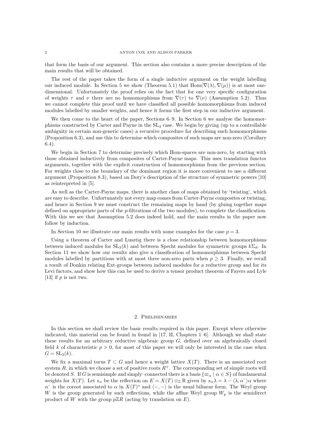that form the basis of our argument. This section also contains a more precise description of the main results that will be obtained.

The rest of the paper takes the form of a single inductive argument on the weight labelling our induced module. In Section 5 we show (Theorem 5.1) that  $\text{Hom}(\nabla(\lambda), \nabla(\mu))$  is at most onedimensional. Unfortunately the proof relies on the fact that for one very specific configuration of weights  $\tau$  and  $\nu$  there are no homomorphisms from  $\nabla(\tau)$  to  $\nabla(\nu)$  (Assumption 5.2). Thus we cannot complete this proof until we have classified all possible homomorphisms from induced modules labelled by smaller weights, and hence it forms the first step in our inductive argument.

We then come to the heart of the paper, Sections 6–9. In Section 6 we analyse the homomorphisms constructed by Carter and Payne in the SL<sup>3</sup> case. We begin by giving (up to a controllable ambiguity in certain non-generic cases) a recursive procedure for describing such homomorphisms (Proposition 6.3), and use this to determine which composites of such maps are non-zero (Corollary 6.4).

We begin in Section 7 to determine precisely which Hom-spaces are non-zero, by starting with those obtained inductively from composites of Carter-Payne maps. This uses translation functor arguments, together with the explicit construction of homomorphisms from the previous section. For weights close to the boundary of the dominant region it is more convenient to use a different argument (Proposition 8.3), based on Doty's description of the structure of symmetric powers [10] as reinterpreted in [5].

As well as the Carter-Payne maps, there is another class of maps obtained by 'twisting', which are easy to describe. Unfortunately not every map comes from Carter-Payne composites or twisting, and hence in Section 9 we must construct the remaining maps by hand (by gluing together maps defined on appropriate parts of the p-filtrations of the two modules), to complete the classification. With this we see that Assumption 5.2 does indeed hold, and the main results in the paper now follow by induction.

In Section 10 we illustrate our main results with some examples for the case  $p = 3$ .

Using a theorem of Carter and Lusztig there is a close relationship between homomorphisms between induced modules for  $SL_3(k)$  and between Specht modules for symmetric groups  $k\Sigma_d$ . In Section 11 we show how our results also give a classification of homomorphisms between Specht modules labelled by partitions with at most three non-zero parts when  $p \geq 3$ . Finally, we recall a result of Donkin relating Ext-groups between induced modules for a reductive group and for its Levi factors, and show how this can be used to derive a tensor product theorem of Fayers and Lyle [13] if  $p$  is not two.

#### 2. Preliminaries

In this section we shall review the basic results required in this paper. Except where otherwise indicated, this material can be found in found in [17, II, Chapters 1–6]. Although we shall state these results for an arbitrary reductive algebraic group G, defined over an algebraically closed field k of characteristic  $p > 0$ , for most of this paper we will only be interested in the case when  $G = SL_3(k)$ .

We fix a maximal torus  $T \subset G$  and hence a weight lattice  $X(T)$ . There is an associated root system R, in which we choose a set of positive roots  $R^+$ . The corresponding set of simple roots will be denoted S. If G is semisimple and simply–connected there is a basis  $\{\varpi_{\alpha} \mid \alpha \in S\}$  of fundamental weights for  $X(T)$ . Let  $s_{\alpha}$  be the reflection on  $E = X(T) \otimes_{\mathbb{Z}} \mathbb{R}$  given by  $s_{\alpha}\lambda = \lambda - \langle \lambda, \alpha \rangle$  where  $\alpha^*$  is the coroot associated to  $\alpha$  in  $X(T)^*$  and  $\langle -, - \rangle$  is the usual bilinear form. The Weyl group W is the group generated by such reflections, while the affine Weyl group  $W_p$  is the semidirect product of W with the group  $p\mathbb{Z}R$  (acting by translation on E).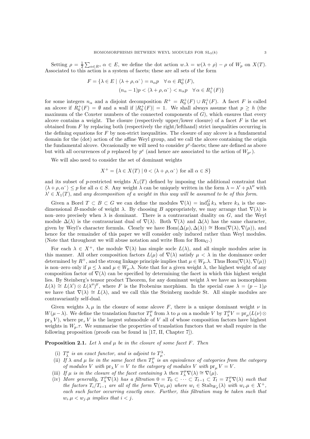Setting  $\rho = \frac{1}{2} \sum_{\alpha \in R^+} \alpha \in E$ , we define the dot action  $w.\lambda = w(\lambda + \rho) - \rho$  of  $W_p$  on  $X(T)$ . Associated to this action is a system of facets; these are all sets of the form

$$
F = \{ \lambda \in E \mid \langle \lambda + \rho, \alpha^* \rangle = n_{\alpha}p \quad \forall \alpha \in R_0^+(F),
$$

$$
(n_{\alpha} - 1)p < \langle \lambda + \rho, \alpha^* \rangle < n_{\alpha}p \quad \forall \alpha \in R_1^+(F) \}
$$

for some integers  $n_{\alpha}$  and a disjoint decomposition  $R^+ = R_0^+(F) \cup R_1^+(F)$ . A facet F is called an alcove if  $R_0^+(F) = \emptyset$  and a wall if  $|R_0^+(F)| = 1$ . We shall always assume that  $p \geq h$  (the maximum of the Coxeter numbers of the connected components of  $G$ ), which ensures that every alcove contains a weight. The closure (respectively upper/lower closure) of a facet  $F$  is the set obtained from  $F$  by replacing both (respectively the right/lefthand) strict inequalities occurring in the defining equations for  $F$  by non-strict inequalities. The closure of any alcove is a fundamental domain for the (dot) action of the affine Weyl group, and we call the alcove containing the origin the fundamental alcove. Occasionally we will need to consider  $p^e$ -facets; these are defined as above but with all occurrences of p replaced by  $p^e$  (and hence are associated to the action of  $W_{p^e}$ ).

We will also need to consider the set of dominant weights

$$
X^+ = \{ \lambda \in X(T) \mid 0 < \langle \lambda + \rho, \alpha^* \rangle \text{ for all } \alpha \in S \}
$$

and its subset of p-restricted weights  $X_1(T)$  defined by imposing the additional constraint that  $\langle \lambda + \rho, \alpha^* \rangle \leq p$  for all  $\alpha \in S$ . Any weight  $\lambda$  can be uniquely written in the form  $\lambda = \lambda' + p\lambda''$  with  $\lambda' \in X_1(T)$ , and any decomposition of a weight in this way will be assumed to be of this form.

Given a Borel  $T \subset B \subset G$  we can define the modules  $\nabla(\lambda) = \text{ind}_{B}^{G} k_{\lambda}$  where  $k_{\lambda}$  is the onedimensional B-module of weight  $\lambda$ . By choosing B appropriately, we may arrange that  $\nabla(\lambda)$  is non–zero precisely when  $\lambda$  is dominant. There is a contravariant duality on G, and the Weyl module  $\Delta(\lambda)$  is the contravariant dual of  $\nabla(\lambda)$ . Both  $\nabla(\lambda)$  and  $\Delta(\lambda)$  has the same character, given by Weyl's character formula. Clearly we have  $\text{Hom}(\Delta(\mu), \Delta(\lambda)) \cong \text{Hom}(\nabla(\lambda), \nabla(\mu))$ , and hence for the remainder of this paper we will consider only induced rather than Weyl modules. (Note that throughout we will abuse notation and write Hom for  $Hom_G$ .)

For each  $\lambda \in X^+$ , the module  $\nabla(\lambda)$  has simple socle  $L(\lambda)$ , and all simple modules arise in this manner. All other composition factors  $L(\mu)$  of  $\nabla(\lambda)$  satisfy  $\mu < \lambda$  in the dominance order determined by  $R^+$ , and the strong linkage principle implies that  $\mu \in W_p$ . Thus Hom $(\nabla(\lambda), \nabla(\mu))$ is non–zero only if  $\mu \leq \lambda$  and  $\mu \in W_n$ . Note that for a given weight  $\lambda$ , the highest weight of any composition factor of  $\nabla(\lambda)$  can be specified by determining the facet in which this highest weight lies. By Steinberg's tensor product Theorem, for any dominant weight  $\lambda$  we have an isomorphism  $L(\lambda) \cong L(\lambda') \otimes L(\lambda'')^{\mathrm{F}}$ , where F is the Frobenius morphism. In the special case  $\lambda = (p-1)\rho$ we have that  $\nabla(\lambda) \cong L(\lambda)$ , and we call this the Steinberg module St. All simple modules are contravariantly self-dual.

Given weights  $\lambda, \mu$  in the closure of some alcove F, there is a unique dominant weight  $\nu$  in W( $\mu - \lambda$ ). We define the translation functor  $T_{\lambda}^{\mu}$  from  $\lambda$  to  $\mu$  on a module V by  $T_{\lambda}^{\mu}V = \text{pr}_{\mu}(L(\nu) \otimes$  $pr_{\lambda} V$ , where  $pr_{\tau} V$  is the largest submodule of V all of whose composition factors have highest weights in  $W_p.\tau$ . We summarise the properties of translation functors that we shall require in the following proposition (proofs can be found in [17, II, Chapter 7]).

**Proposition 2.1.** Let  $\lambda$  and  $\mu$  be in the closure of some facet F. Then

- (i)  $T_{\lambda}^{\mu}$  is an exact functor, and is adjoint to  $T_{\mu}^{\lambda}$ .
- (ii) If  $\lambda$  and  $\mu$  lie in the same facet then  $T^{\mu}_{\lambda}$  is an equivalence of categories from the category of modules V with  $pr_{\lambda} V = V$  to the category of modules V with  $pr_{\mu} V = V$ .
- (iii) If  $\mu$  is in the closure of the facet containing  $\lambda$  then  $T^{\mu}_{\lambda} \nabla(\lambda) \cong \nabla(\mu)$ .
- (iv) More generally,  $T^{\mu}_{\lambda} \nabla(\lambda)$  has a filtration  $0 = T_0 \subset \cdots \subset T_{t-1} \subset T_t = T^{\mu}_{\lambda} \nabla(\lambda)$  such that the factors  $T_i/T_{i-1}$  are all of the form  $\nabla(w_i,\mu)$  where  $w_i \in \text{Stab}_{W_p}(\lambda)$  with  $w_i.\mu \in X^+$ , each such factor occurring exactly once. Further, this filtration may be taken such that  $w_i.\mu < w_j.\mu$  implies that  $i < j$ .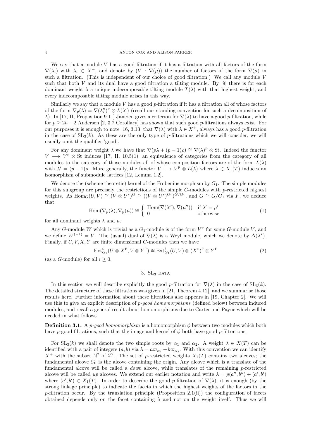We say that a module  $V$  has a good filtration if it has a filtration with all factors of the form  $\nabla(\lambda_i)$  with  $\lambda_i \in X^+$ , and denote by  $(V : \nabla(\mu))$  the number of factors of the form  $\nabla(\mu)$  in such a filtration. (This is independent of our choice of good filtration.) We call any module  $V$ such that both V and its dual have a good filtration a tilting module. By  $[9]$  there is for each dominant weight  $\lambda$  a unique indecomposable tilting module  $T(\lambda)$  with that highest weight, and every indecomposable tilting module arises in this way.

Similarly we say that a module V has a good  $p$ -filtration if it has a filtration all of whose factors of the form  $\nabla_p(\lambda) = \nabla(\lambda_i')^F \otimes L(\lambda_i')$  (recall our standing convention for such a decomposition of λ). In [17, II, Proposition 9.11] Jantzen gives a criterion for  $\nabla(\lambda)$  to have a good *p*-filtration, while for  $p > 2h - 2$  Andersen [2, 3.7 Corollary] has shown that such good p-filtrations always exist. For our purposes it is enough to note [16, 3.13] that  $\nabla(\lambda)$  with  $\lambda \in X^+$ , always has a good p-filtration in the case of  $SL_3(k)$ . As these are the only type of p-filtrations which we will consider, we will usually omit the qualifier 'good'.

For any dominant weight  $\lambda$  we have that  $\nabla (p\lambda + (p-1)\rho) \cong \nabla(\lambda)^F \otimes St$ . Indeed the functor  $V \mapsto V^{\text{F}} \otimes St$  induces [17, II, 10.5(1)] an equivalence of categories from the category of all modules to the category of those modules all of whose composition factors are of the form  $L(\lambda)$ with  $\lambda' = (p-1)\rho$ . More generally, the functor  $V \mapsto V^F \otimes L(\lambda)$  where  $\lambda \in X_1(T)$  induces an isomorphism of submodule lattices [12, Lemma 1.2].

We denote the (scheme theoretic) kernel of the Frobenius morphism by  $G_1$ . The simple modules for this subgroup are precisely the restrictions of the simple  $G$ -modules with  $p$ -restricted highest weights. As  $\text{Hom}_G(U, V) \cong (V \otimes U^*)^G \cong ((V \otimes U^*)^{G_1})^{G/G_1}$ , and  $G \cong G/G_1$  via F, we deduce that

$$
\operatorname{Hom}(\nabla_p(\lambda), \nabla_p(\mu)) \cong \begin{cases} \operatorname{Hom}(\nabla(\lambda''), \nabla(\mu'')) & \text{if } \lambda' = \mu' \\ 0 & \text{otherwise} \end{cases}
$$
 (1)

for all dominant weights  $\lambda$  and  $\mu$ .

Any G-module W which is trivial as a  $G_1$ -module is of the form  $V^F$  for some G-module V, and we define  $W^{(-1)} = V$ . The (usual) dual of  $\nabla(\lambda)$  is a Weyl module, which we denote by  $\Delta(\lambda^*)$ . Finally, if  $U, V, X, Y$  are finite dimensional G-modules then we have

$$
\operatorname{Ext}_{G_1}^i(U \otimes X^F, V \otimes Y^F) \cong \operatorname{Ext}_{G_1}^i(U, V) \otimes (X^*)^F \otimes Y^F \tag{2}
$$

(as a *G*-module) for all  $i \geq 0$ .

## 3.  $SL<sub>3</sub>$  DATA

In this section we will describe explicitly the good p-filtration for  $\nabla(\lambda)$  in the case of  $SL_3(k)$ . The detailed structure of these filtrations was given in [21, Theorem 4.12], and we summarise those results here. Further information about these filtrations also appears in [19, Chapter 2]. We will use this to give an explicit description of p-good homomorphisms (defined below) between induced modules, and recall a general result about homomorphisms due to Carter and Payne which will be needed in what follows.

**Definition 3.1.** A *p-good homomorphism* is a homomorphism  $\phi$  between two modules which both have p-good filtrations, such that the image and kernel of  $\phi$  both have good p-filtrations.

For  $SL_3(k)$  we shall denote the two simple roots by  $\alpha_1$  and  $\alpha_2$ . A weight  $\lambda \in X(T)$  can be identified with a pair of integers  $(a, b)$  via  $\lambda = a\omega_{\alpha_1} + b\omega_{\alpha_2}$ . With this convention we can identify  $X^+$  with the subset  $\mathbb{N}^2$  of  $\mathbb{Z}^2$ . The set of p-restricted weights  $X_1(T)$  contains two alcoves; the fundamental alcove  $C_0$  is the alcove containing the origin. Any alcove which is a translate of the fundamental alcove will be called a *down* alcove, while translates of the remaining  $p$ -restricted alcove will be called up alcoves. We extend our earlier notation and write  $\lambda = p(a'', b'') + (a', b')$ where  $(a',b') \in X_1(T)$ . In order to describe the good p-filtration of  $\nabla(\lambda)$ , it is enough (by the strong linkage principle) to indicate the facets in which the highest weights of the factors in the p-filtration occur. By the translation principle (Proposition 2.1(ii)) the configuration of facets obtained depends only on the facet containing  $\lambda$  and not on the weight itself. Thus we will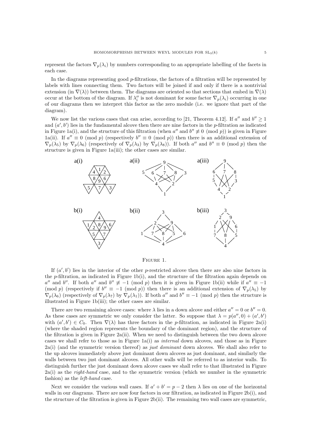represent the factors  $\nabla_p(\lambda_i)$  by numbers corresponding to an appropriate labelling of the facets in each case.

In the diagrams representing good p-filtrations, the factors of a filtration will be represented by labels with lines connecting them. Two factors will be joined if and only if there is a nontrivial extension (in  $\nabla(\lambda)$ ) between them. The diagrams are oriented so that sections that embed in  $\nabla(\lambda)$ occur at the bottom of the diagram. If  $\lambda''_i$  is not dominant for some factor  $\nabla_p(\lambda_i)$  occurring in one of our diagrams then we interpret this factor as the zero module (i.e. we ignore that part of the diagram).

We now list the various cases that can arise, according to [21, Theorem 4.12]. If  $a''$  and  $b'' \ge 1$ and  $(a', b')$  lies in the fundamental alcove then there are nine factors in the p-filtration as indicated in Figure 1a(i), and the structure of this filtration (when  $a''$  and  $b'' \not\equiv 0 \pmod{p}$ ) is given in Figure 1a(ii). If  $a'' \equiv 0 \pmod{p}$  (respectively  $b'' \equiv 0 \pmod{p}$ ) then there is an additional extension of  $\nabla_p(\lambda_5)$  by  $\nabla_p(\lambda_6)$  (respectively of  $\nabla_p(\lambda_3)$  by  $\nabla_p(\lambda_8)$ ). If both a'' and b''  $\equiv 0 \pmod{p}$  then the structure is given in Figure 1a(iii); the other cases are similar.



Figure 1.

If  $(a', b')$  lies in the interior of the other p-restricted alcove then there are also nine factors in the p-filtration, as indicated in Figure 1b(i), and the structure of the filtration again depends on  $a''$  and b''. If both  $a''$  and  $b'' \not\equiv -1 \pmod{p}$  then it is given in Figure 1b(ii) while if  $a'' \equiv -1$ (mod p) (respectively if  $b'' \equiv -1 \pmod{p}$ ) then there is an additional extension of  $\nabla_p(\lambda_5)$  by  $\nabla_p(\lambda_6)$  (respectively of  $\nabla_p(\lambda_7)$  by  $\nabla_p(\lambda_1)$ ). If both  $a''$  and  $b'' \equiv -1 \pmod{p}$  then the structure is illustrated in Figure 1b(iii); the other cases are similar.

There are two remaining alcove cases: where  $\lambda$  lies in a down alcove and either  $a'' = 0$  or  $b'' = 0$ . As these cases are symmetric we only consider the latter. So suppose that  $\lambda = p(a'', 0) + (a', b')$ with  $(a', b') \in C_0$ . Then  $\nabla(\lambda)$  has three factors in the *p*-filtration, as indicated in Figure 2a(i) (where the shaded region represents the boundary of the dominant region), and the structure of the filtration is given in Figure  $2a(ii)$ . When we need to distinguish between the two down alcove cases we shall refer to those as in Figure 1a(i) as internal down alcoves, and those as in Figure 2a(i) (and the symmetric version thereof) as just dominant down alcoves. We shall also refer to the up alcoves immediately above just dominant down alcoves as just dominant, and similarly the walls between two just dominant alcoves. All other walls will be referred to as interior walls. To distinguish further the just dominant down alcove cases we shall refer to that illustrated in Figure  $2a(i)$  as the *right-hand* case, and to the symmetric version (which we number in the symmetric fashion) as the left-hand case.

Next we consider the various wall cases. If  $a' + b' = p - 2$  then  $\lambda$  lies on one of the horizontal walls in our diagrams. There are now four factors in our filtration, as indicated in Figure 2b(i), and the structure of the filtration is given in Figure 2b(ii). The remaining two wall cases are symmetric,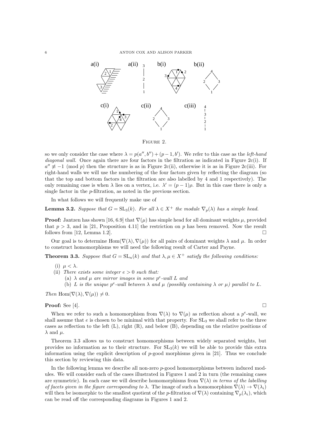

Figure 2.

so we only consider the case where  $\lambda = p(a'', b'') + (p - 1, b')$ . We refer to this case as the *left-hand* diagonal wall. Once again there are four factors in the filtration as indicated in Figure 2c(i). If  $a'' \not\equiv -1 \pmod{p}$  then the structure is as in Figure 2c(ii), otherwise it is as in Figure 2c(iii). For right-hand walls we will use the numbering of the four factors given by reflecting the diagram (so that the top and bottom factors in the filtration are also labelled by 4 and 1 respectively). The only remaining case is when  $\lambda$  lies on a vertex, i.e.  $\lambda' = (p-1)\rho$ . But in this case there is only a single factor in the p-filtration, as noted in the previous section.

In what follows we will frequently make use of

**Lemma 3.2.** Suppose that  $G = SL_3(k)$ . For all  $\lambda \in X^+$  the module  $\nabla_p(\lambda)$  has a simple head.

**Proof:** Jantzen has shown [16, 6.9] that  $\nabla(\mu)$  has simple head for all dominant weights  $\mu$ , provided that  $p > 3$ , and in [21, Proposition 4.11] the restriction on p has been removed. Now the result follows from [12, Lemma 1.2].

Our goal is to determine Hom( $\nabla(\lambda), \nabla(\mu)$ ) for all pairs of dominant weights  $\lambda$  and  $\mu$ . In order to construct homomorphisms we will need the following result of Carter and Payne.

**Theorem 3.3.** Suppose that  $G = SL_n(k)$  and that  $\lambda, \mu \in X^+$  satisfy the following conditions:

- (i)  $\mu < \lambda$ .
- (ii) There exists some integer  $e > 0$  such that:
	- (a)  $\lambda$  and  $\mu$  are mirror images in some p<sup>e</sup>-wall L and
	- (b) L is the unique  $p^e$ -wall between  $\lambda$  and  $\mu$  (possibly containing  $\lambda$  or  $\mu$ ) parallel to L.

Then Hom $(\nabla(\lambda), \nabla(\mu)) \neq 0$ .

### **Proof:** See [4].  $\Box$

When we refer to such a homomorphism from  $\nabla(\lambda)$  to  $\nabla(\mu)$  as reflection about a  $p^e$ -wall, we shall assume that  $e$  is chosen to be minimal with that property. For  $SL_3$  we shall refer to the three cases as reflection to the left  $(L)$ , right  $(R)$ , and below  $(B)$ , depending on the relative positions of  $\lambda$  and  $\mu$ .

Theorem 3.3 allows us to construct homomorphisms between widely separated weights, but provides no information as to their structure. For  $SL_3(k)$  we will be able to provide this extra information using the explicit description of  $p$ -good morphisms given in [21]. Thus we conclude this section by reviewing this data.

In the following lemma we describe all non-zero p-good homomorphisms between induced modules. We will consider each of the cases illustrated in Figures 1 and 2 in turn (the remaining cases are symmetric). In each case we will describe homomorphisms from  $\nabla(\lambda)$  in terms of the labelling of facets given in the figure corresponding to  $\lambda$ . The image of such a homomorphism  $\nabla(\lambda) \to \nabla(\lambda_i)$ will then be isomorphic to the smallest quotient of the p-filtration of  $\nabla(\lambda)$  containing  $\nabla_p(\lambda_i)$ , which can be read off the corresponding diagrams in Figures 1 and 2.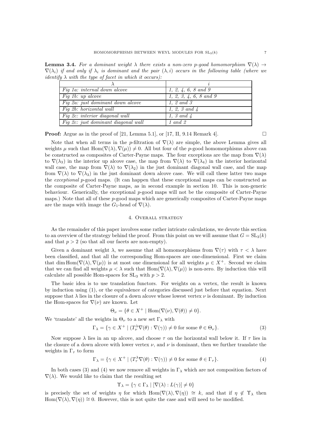**Lemma 3.4.** For a dominant weight  $\lambda$  there exists a non-zero p-good homomorphism  $\nabla(\lambda) \rightarrow$  $\nabla(\lambda_i)$  if and only if  $\lambda_i$  is dominant and the pair  $(\lambda, i)$  occurs in the following table (where we identify  $\lambda$  with the type of facet in which it occurs):

| Fig 1a: internal down alcove         | 1, 2, 4, 6, 8, and 9    |
|--------------------------------------|-------------------------|
| Fig 1b: up alcove                    | 1, 2, 3, 4, 6, 8, and 9 |
| Fig 2a: just dominant down alcove    | 1. 2 and 3              |
| $\overline{Fiq}$ 2b: horizontal wall | 1, 2, 3 and $\lambda$   |
| Fig 2c: interior diagonal wall       | 1. 3 and $\lambda$      |
| Fig 2c: just dominant diagonal wall  | 1 and 2                 |

**Proof:** Argue as in the proof of [21, Lemma 5.1], or [17, II, 9.14 Remark 4].

Note that when all terms in the p-filtration of  $\nabla(\lambda)$  are simple, the above Lemma gives all weights  $\mu$  such that  $\text{Hom}(\nabla(\lambda), \nabla(\mu)) \neq 0$ . All but four of the p-good homomorphisms above can be constructed as composites of Carter-Payne maps. The four exceptions are the map from  $\nabla(\lambda)$ to  $\nabla(\lambda_3)$  in the interior up alcove case, the map from  $\nabla(\lambda)$  to  $\nabla(\lambda_4)$  in the interior horizontal wall case, the map from  $\nabla(\lambda)$  to  $\nabla(\lambda_2)$  in the just dominant diagonal wall case, and the map from  $\nabla(\lambda)$  to  $\nabla(\lambda_3)$  in the just dominant down alcove case. We will call these latter two maps the exceptional p-good maps. (It can happen that these exceptional maps can be constructed as the composite of Carter-Payne maps, as in second example in section 10. This is non-generic behaviour. Generically, the exceptional  $p$ -good maps will not be the composite of Carter-Payne maps.) Note that all of these p-good maps which are generically composites of Carter-Payne maps are the maps with image the  $G_1$ -head of  $\nabla(\lambda)$ .

#### 4. Overall strategy

As the remainder of this paper involves some rather intricate calculations, we devote this section to an overview of the strategy behind the proof. From this point on we will assume that  $G = SL_3(k)$ and that  $p > 2$  (so that all our facets are non-empty).

Given a dominant weight  $\lambda$ , we assume that all homomorphisms from  $\nabla(\tau)$  with  $\tau < \lambda$  have been classified, and that all the corresponding Hom-spaces are one-dimensional. First we claim that dim Hom( $\nabla(\lambda), \nabla(\mu)$ ) is at most one dimensional for all weights  $\mu \in X^+$ . Second we claim that we can find all weights  $\mu < \lambda$  such that  $\text{Hom}(\nabla(\lambda), \nabla(\mu))$  is non-zero. By induction this will calculate all possible Hom-spaces for  $SL_3$  with  $p > 2$ .

The basic idea is to use translation functors. For weights on a vertex, the result is known by induction using (1), or the equivalence of categories discussed just before that equation. Next suppose that  $\lambda$  lies in the closure of a down alcove whose lowest vertex  $\nu$  is dominant. By induction the Hom-spaces for  $\nabla(\nu)$  are known. Let

$$
\Theta_{\nu} = \{ \theta \in X^+ \mid \text{Hom}(\nabla(\nu), \nabla(\theta)) \neq 0 \}.
$$

We 'translate' all the weights in  $\Theta_{\nu}$  to a new set  $\Gamma_{\lambda}$  with

$$
\Gamma_{\lambda} = \{ \gamma \in X^{+} \mid (T^{\lambda}_{\nu} \nabla(\theta) : \nabla(\gamma)) \neq 0 \text{ for some } \theta \in \Theta_{\nu} \}. \tag{3}
$$

Now suppose  $\lambda$  lies in an up alcove, and choose  $\tau$  on the horizontal wall below it. If  $\tau$  lies in the closure of a down alcove with lower vertex  $\nu$ , and  $\nu$  is dominant, then we further translate the weights in  $\Gamma_{\tau}$  to form

$$
\Gamma_{\lambda} = \{ \gamma \in X^{+} \mid (T^{\lambda}_{\tau} \nabla(\theta) : \nabla(\gamma)) \neq 0 \text{ for some } \theta \in \Gamma_{\tau} \}. \tag{4}
$$

In both cases (3) and (4) we now remove all weights in  $\Gamma_{\lambda}$  which are not composition factors of  $\nabla(\lambda)$ . We would like to claim that the resulting set

$$
\Upsilon_{\lambda} = \{ \gamma \in \Gamma_{\lambda} \mid [\nabla(\lambda) : L(\gamma)] \neq 0 \}
$$

is precisely the set of weights  $\eta$  for which Hom $(\nabla(\lambda), \nabla(\eta)) \cong k$ , and that if  $\eta \notin \Upsilon_\lambda$  then  $\text{Hom}(\nabla(\lambda), \nabla(\eta)) \cong 0$ . However, this is not quite the case and will need to be modified.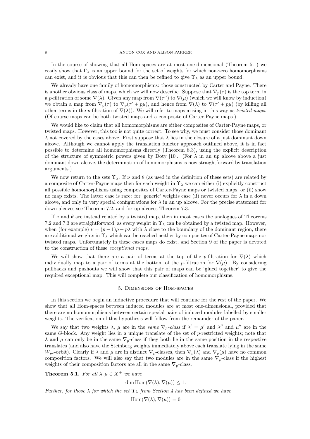In the course of showing that all Hom-spaces are at most one-dimensional (Theorem 5.1) we easily show that  $\Gamma_{\lambda}$  is an upper bound for the set of weights for which non-zero homomorphisms can exist, and it is obvious that this can then be refined to give  $\Upsilon_{\lambda}$  as an upper bound.

We already have one family of homomorphisms: those constructed by Carter and Payne. There is another obvious class of maps, which we will now describe. Suppose that  $\nabla_p(\tau)$  is the top term in a p-filtration of some  $\nabla(\lambda)$ . Given any map from  $\nabla(\tau'')$  to  $\nabla(\mu)$  (which we will know by induction) we obtain a map from  $\nabla_p(\tau)$  to  $\nabla_p(\tau'+p\mu)$ , and hence from  $\nabla(\lambda)$  to  $\nabla(\tau'+p\mu)$  (by killing all other terms in the p-filtration of  $\nabla(\lambda)$ . We will refer to maps arising in this way as twisted maps. (Of course maps can be both twisted maps and a composite of Carter-Payne maps.)

We would like to claim that all homomorphisms are either composites of Carter-Payne maps, or twisted maps. However, this too is not quite correct. To see why, we must consider those dominant  $\lambda$  not covered by the cases above. First suppose that  $\lambda$  lies in the closure of a just dominant down alcove. Although we cannot apply the translation functor approach outlined above, it is in fact possible to determine all homomorphisms directly (Theorem 8.3), using the explicit description of the structure of symmetric powers given by Doty [10]. (For  $\lambda$  in an up alcove above a just dominant down alcove, the determination of homomorphisms is now straightforward by translation arguments.)

We now return to the sets  $\Upsilon_{\lambda}$ . If  $\nu$  and  $\theta$  (as used in the definition of these sets) are related by a composite of Carter-Payne maps then for each weight in  $\Upsilon_{\lambda}$  we can either (i) explicitly construct all possible homomorphisms using composites of Carter-Payne maps or twisted maps, or (ii) show no map exists. The latter case is rare: for 'generic' weights case (ii) never occurs for  $\lambda$  in a down alcove, and only in very special configurations for  $\lambda$  in an up alcove. For the precise statement for down alcoves see Theorem 7.2, and for up alcoves Theorem 7.3.

If  $\nu$  and  $\theta$  are instead related by a twisted map, then in most cases the analogues of Theorems 7.2 and 7.3 are straightforward, as every weight in  $\Upsilon_{\lambda}$  can be obtained by a twisted map. However, when (for example)  $\nu = (p-1)\rho + p\lambda$  with  $\lambda$  close to the boundary of the dominant region, there are additional weights in  $\Upsilon_{\lambda}$  which can be reached neither by composites of Carter-Payne maps nor twisted maps. Unfortunately in these cases maps do exist, and Section 9 of the paper is devoted to the construction of these exceptional maps.

We will show that there are a pair of terms at the top of the p-filtration for  $\nabla(\lambda)$  which individually map to a pair of terms at the bottom of the p-filtration for  $\nabla(\mu)$ . By considering pullbacks and pushouts we will show that this pair of maps can be 'glued together' to give the required exceptional map. This will complete our classification of homomorphisms.

#### 5. Dimensions of Hom-spaces

In this section we begin an inductive procedure that will continue for the rest of the paper. We show that all Hom-spaces between induced modules are at most one-dimensional, provided that there are no homomorphisms between certain special pairs of induced modules labelled by smaller weights. The verification of this hypothesis will follow from the remainder of the paper.

We say that two weights  $\lambda$ ,  $\mu$  are in the same  $\nabla_p$ -class if  $\lambda' = \mu'$  and  $\lambda''$  and  $\mu''$  are in the same G-block. Any weight lies in a unique translate of the set of  $p$ -restricted weights; note that  $\lambda$  and  $\mu$  can only be in the same  $\nabla_p$ -class if they both lie in the same position in the respective translates (and also have the Steinberg weights immediately above each translate lying in the same  $W_{p^2}$ -orbit). Clearly if  $\lambda$  and  $\mu$  are in distinct  $\nabla_p$ -classes, then  $\nabla_p(\lambda)$  and  $\nabla_p(\mu)$  have no common composition factors. We will also say that two modules are in the same  $\nabla_p$ -class if the highest weights of their composition factors are all in the same  $\nabla_p$ -class.

**Theorem 5.1.** For all  $\lambda, \mu \in X^+$  we have

dim Hom $(\nabla(\lambda), \nabla(\mu)) \leq 1$ .

Further, for those  $\lambda$  for which the set  $\Upsilon_{\lambda}$  from Section 4 has been defined we have

 $\text{Hom}(\nabla(\lambda), \nabla(\mu)) = 0$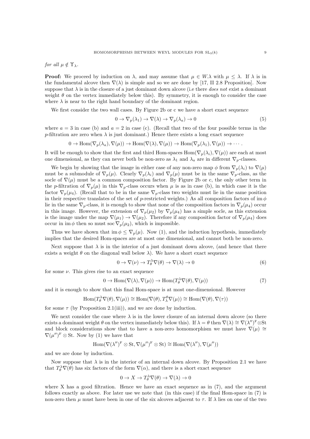for all  $\mu \notin \Upsilon_{\lambda}$ .

**Proof:** We proceed by induction on  $\lambda$ , and may assume that  $\mu \in W.\lambda$  with  $\mu \leq \lambda$ . If  $\lambda$  is in the fundamental alcove then  $\nabla(\lambda)$  is simple and so we are done by [17, II 2.8 Proposition]. Now suppose that  $\lambda$  is in the closure of a just dominant down alcove (i.e there *does not* exist a dominant weight  $\theta$  on the vertex immediately below this). By symmetry, it is enough to consider the case where  $\lambda$  is near to the right hand boundary of the dominant region.

We first consider the two wall cases. By Figure 2b or c we have a short exact sequence

$$
0 \to \nabla_p(\lambda_1) \to \nabla(\lambda) \to \nabla_p(\lambda_a) \to 0 \tag{5}
$$

where  $a = 3$  in case (b) and  $a = 2$  in case (c). (Recall that two of the four possible terms in the p-filtration are zero when  $\lambda$  is just dominant.) Hence there exists a long exact sequence

$$
0 \to \operatorname{Hom}(\nabla_p(\lambda_a), \nabla(\mu)) \to \operatorname{Hom}(\nabla(\lambda), \nabla(\mu)) \to \operatorname{Hom}(\nabla_p(\lambda_1), \nabla(\mu)) \to \cdots.
$$

It will be enough to show that the first and third Hom-spaces  $\text{Hom}(\nabla_p(\lambda_i), \nabla(\mu))$  are each at most one dimensional, as they can never both be non-zero as  $\lambda_1$  and  $\lambda_a$  are in different  $\nabla_p$ -classes.

We begin by showing that the image in either case of any non-zero map  $\phi$  from  $\nabla_p(\lambda_i)$  to  $\nabla(\mu)$ must be a submodule of  $\nabla_p(\mu)$ . Clearly  $\nabla_p(\lambda_i)$  and  $\nabla_p(\mu)$  must be in the same  $\nabla_p$ -class, as the socle of  $\nabla(\mu)$  must be a common composition factor. By Figure 2b or c, the only other term in the p-filtration of  $\nabla_p(\mu)$  in this  $\nabla_p$ -class occurs when  $\mu$  is as in case (b), in which case it is the factor  $\nabla_p(\mu_4)$ . (Recall that to be in the same  $\nabla_p$ -class two weights must lie in the same position in their respective translates of the set of p-restricted weights.) As all composition factors of im  $\phi$ lie in the same  $\nabla_p$ -class, it is enough to show that none of the composition factors in  $\nabla_p(\mu_4)$  occur in this image. However, the extension of  $\nabla_p(\mu_2)$  by  $\nabla_p(\mu_4)$  has a simple socle, as this extension is the image under the map  $\nabla(\mu_1) \to \nabla(\mu_2)$ . Therefore if any composition factor of  $\nabla_p(\mu_4)$  does occur in im  $\phi$  then so must soc  $\nabla_p(\mu_2)$ , which is impossible.

Thus we have shown that im  $\phi \leq \nabla_n(\mu)$ . Now (1), and the induction hypothesis, immediately implies that the desired Hom-spaces are at most one dimensional, and cannot both be non-zero.

Next suppose that  $\lambda$  is in the interior of a just dominant down alcove, (and hence that there exists a weight  $\theta$  on the diagonal wall below  $\lambda$ ). We have a short exact sequence

$$
0 \to \nabla(\nu) \to T^{\lambda}_{\theta} \nabla(\theta) \to \nabla(\lambda) \to 0 \tag{6}
$$

for some  $\nu$ . This gives rise to an exact sequence

$$
0 \to \operatorname{Hom}(\nabla(\lambda), \nabla(\mu)) \to \operatorname{Hom}(T^{\lambda}_{\theta} \nabla(\theta), \nabla(\mu))
$$
\n(7)

and it is enough to show that this final Hom-space is at most one-dimensional. However

$$
\operatorname{Hom}(T_{\theta}^{\lambda}\nabla(\theta),\nabla(\mu))\cong \operatorname{Hom}(\nabla(\theta),T_{\lambda}^{\theta}\nabla(\mu))\cong \operatorname{Hom}(\nabla(\theta),\nabla(\tau))
$$

for some  $\tau$  (by Proposition 2.1(iii)), and we are done by induction.

We next consider the case where  $\lambda$  is in the lower closure of an internal down alcove (so there exists a dominant weight  $\theta$  on the vertex immediately below this). If  $\lambda = \theta$  then  $\nabla(\lambda) \cong \nabla(\lambda'')^F \otimes St$ and block considerations show that to have a non-zero homomorphism we must have  $\nabla(\mu) \cong$  $\nabla(\mu'')^{\mathrm{F}} \otimes \mathrm{St}$ . Now by (1) we have that

$$
\mathrm{Hom}(\nabla(\lambda'')^F\otimes\mathrm{St},\nabla(\mu'')^F\otimes\mathrm{St})\cong\mathrm{Hom}(\nabla(\lambda''),\nabla(\mu''))
$$

and we are done by induction.

Now suppose that  $\lambda$  is in the interior of an internal down alcove. By Proposition 2.1 we have that  $T_{\theta}^{\lambda} \nabla(\theta)$  has six factors of the form  $\nabla(\alpha)$ , and there is a short exact sequence

$$
0 \to X \to T^{\lambda}_{\theta} \nabla(\theta) \to \nabla(\lambda) \to 0
$$

where X has a good filtration. Hence we have an exact sequence as in  $(7)$ , and the argument follows exactly as above. For later use we note that (in this case) if the final Hom-space in (7) is non-zero then  $\mu$  must have been in one of the six alcoves adjacent to  $\tau$ . If  $\lambda$  lies on one of the two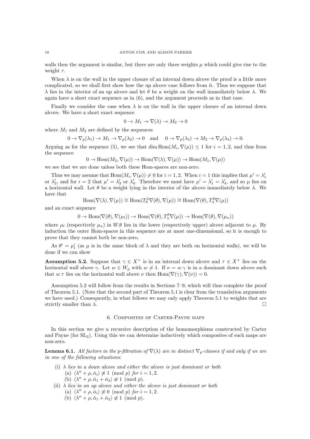walls then the argument is similar, but there are only three weights  $\mu$  which could give rise to the weight  $\tau$ .

When  $\lambda$  is on the wall in the upper closure of an internal down alcove the proof is a little more complicated, so we shall first show how the up alcove case follows from it. Thus we suppose that  $\lambda$  lies in the interior of an up alcove and let  $\theta$  be a weight on the wall immediately below  $\lambda$ . We again have a short exact sequence as in (6), and the argument proceeds as in that case.

Finally we consider the case when  $\lambda$  is on the wall in the upper closure of an internal down alcove. We have a short exact sequence

$$
0 \to M_1 \to \nabla(\lambda) \to M_2 \to 0
$$

where  $M_1$  and  $M_2$  are defined by the sequences

$$
0 \to \nabla_p(\lambda_1) \to M_1 \to \nabla_p(\lambda_2) \to 0 \quad \text{and} \quad 0 \to \nabla_p(\lambda_3) \to M_2 \to \nabla_p(\lambda_4) \to 0.
$$

Arguing as for the sequence (5), we see that dim  $Hom(M_i, \nabla(\mu)) \leq 1$  for  $i = 1, 2$ , and thus from the sequence

$$
0 \to \operatorname{Hom}(M_2, \nabla(\mu)) \to \operatorname{Hom}(\nabla(\lambda), \nabla(\mu)) \to \operatorname{Hom}(M_1, \nabla(\mu))
$$

we see that we are done unless both these Hom-spaces are non-zero.

Thus we may assume that  $Hom(M_i, \nabla(\mu)) \neq 0$  for  $i = 1, 2$ . When  $i = 1$  this implies that  $\mu' = \lambda'_1$ or  $\lambda'_2$ , and for  $i = 2$  that  $\mu' = \lambda'_3$  or  $\lambda'_4$ . Therefore we must have  $\mu' = \lambda'_1 = \lambda'_4$ , and so  $\mu$  lies on a horizontal wall. Let  $\theta$  be a weight lying in the interior of the alcove immediately below  $\lambda$ . We have that

$$
\mathrm{Hom}(\nabla(\lambda),\nabla(\mu))\cong \mathrm{Hom}(T_\theta^\lambda \nabla(\theta),\nabla(\mu))\cong \mathrm{Hom}(\nabla(\theta),T_\lambda^\theta \nabla(\mu))
$$

and an exact sequence

$$
0 \to \operatorname{Hom}(\nabla(\theta), \nabla(\mu_l)) \to \operatorname{Hom}(\nabla(\theta), T_\lambda^{\theta} \nabla(\mu)) \to \operatorname{Hom}(\nabla(\theta), \nabla(\mu_u))
$$

where  $\mu_l$  (respectively  $\mu_u$ ) in W. $\theta$  lies in the lower (respectively upper) alcove adjacent to  $\mu$ . By induction the outer Hom-spaces in this sequence are at most one-dimensional, so it is enough to prove that they cannot both be non-zero.

As  $\theta' = \mu'_l$  (as  $\mu$  is in the same block of  $\lambda$  and they are both on horizontal walls), we will be done if we can show

**Assumption 5.2.** Suppose that  $\gamma \in X^+$  is in an internal down alcove and  $\tau \in X^+$  lies on the horizontal wall above  $\gamma$ . Let  $w \in W_p$  with  $w \neq 1$ . If  $\nu = w.\gamma$  is in a dominant down alcove such that w. $\tau$  lies on the horizontal wall above  $\nu$  then  $\text{Hom}(\nabla(\gamma), \nabla(\nu)) = 0$ .

Assumption 5.2 will follow from the results in Sections 7–9, which will thus complete the proof of Theorem 5.1. (Note that the second part of Theorem 5.1 is clear from the translation arguments we have used.) Consequently, in what follows we may only apply Theorem 5.1 to weights that are strictly smaller than  $\lambda$ .

#### 6. Composites of Carter-Payne maps

In this section we give a recursive description of the homomorphisms constructed by Carter and Payne (for SL3). Using this we can determine inductively which composites of such maps are non-zero.

**Lemma 6.1.** All factors in the p-filtration of  $\nabla(\lambda)$  are in distinct  $\nabla_p$ -classes if and only if we are in one of the following situations:

- (i)  $\lambda$  lies in a down alcove and either the alcove is just dominant or both (a)  $\langle \lambda'' + \rho, \check{\alpha}_i \rangle \not\equiv 1 \pmod{p}$  for  $i = 1, 2$ .
	- (b)  $\langle \lambda'' + \rho, \check{\alpha}_1 + \check{\alpha}_2 \rangle \not\equiv 1 \pmod{p}.$
- (ii)  $\lambda$  lies in an up alcove and either the alcove is just dominant or both (a)  $\langle \lambda'' + \rho, \check{\alpha}_i \rangle \not\equiv 0 \pmod{p}$  for  $i = 1, 2$ .
	- (b)  $\langle \lambda'' + \rho, \check{\alpha}_1 + \check{\alpha}_2 \rangle \not\equiv 1 \pmod{p}.$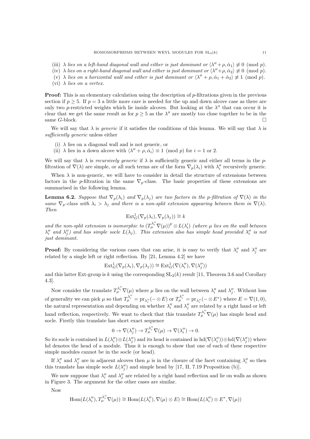- (iii)  $\lambda$  lies on a left-hand diagonal wall and either is just dominant or  $\langle \lambda'' + \rho, \check{\alpha}_1 \rangle \not\equiv 0 \pmod{p}$ .
- (iv)  $\lambda$  lies on a right-hand diagonal wall and either is just dominant or  $\langle \lambda'' + \rho, \check{\alpha}_2 \rangle \not\equiv 0 \pmod{p}$ .
- (v)  $\lambda$  lies on a horizontal wall and either is just dominant or  $\langle \lambda'' + \rho, \check{\alpha}_1 + \check{\alpha}_2 \rangle \not\equiv 1 \pmod{p}$ .
- (vi)  $\lambda$  lies on a vertex.

**Proof:** This is an elementary calculation using the description of p-filtrations given in the previous section if  $p \geq 5$ . If  $p = 3$  a little more care is needed for the up and down alcove case as there are only two p-restricted weights which lie inside alcoves. But looking at the  $\lambda''$  that can occur it is clear that we get the same result as for  $p \geq 5$  as the  $\lambda''$  are mostly too close together to be in the same G-block.  $\Box$ 

We will say that  $\lambda$  is *generic* if it satisfies the conditions of this lemma. We will say that  $\lambda$  is sufficiently generic unless either

- (i)  $\lambda$  lies on a diagonal wall and is not generic, or
- (ii)  $\lambda$  lies in a down alcove with  $\langle \lambda'' + \rho, \check{\alpha}_i \rangle \equiv 1 \pmod{p}$  for  $i = 1$  or 2.

We will say that  $\lambda$  is recursively generic if  $\lambda$  is sufficiently generic and either all terms in the pfiltration of  $\nabla(\lambda)$  are simple, or all such terms are of the form  $\nabla_p(\lambda_i)$  with  $\lambda_i''$  recursively generic.

When  $\lambda$  is non-generic, we will have to consider in detail the structure of extensions between factors in the p-filtration in the same  $\nabla_p$ -class. The basic properties of these extensions are summarised in the following lemma.

**Lemma 6.2.** Suppose that  $\nabla_p(\lambda_i)$  and  $\nabla_p(\lambda_j)$  are two factors in the p-filtration of  $\nabla(\lambda)$  in the same  $\nabla_p$ -class with  $\lambda_i > \lambda_j$  and there is a non-split extension appearing between them in  $\nabla(\lambda)$ . Then

$$
\mathrm{Ext}^1_G(\nabla_p(\lambda_i), \nabla_p(\lambda_j)) \cong k
$$

and the non-split extension is isomorphic to  $(T_{\mu}^{\lambda''_i}\nabla(\mu))^F \otimes L(\lambda'_i)$  (where  $\mu$  lies on the wall between  $\lambda''_i$  and  $\lambda''_j$ ) and has simple socle  $L(\lambda_j)$ . This extension also has simple head provided  $\lambda''_i$  is not just dominant.

**Proof:** By considering the various cases that can arise, it is easy to verify that  $\lambda''_i$  and  $\lambda''_j$  are related by a single left or right reflection. By [21, Lemma 4.2] we have

$$
\mathrm{Ext}^1_G(\nabla_p(\lambda_i), \nabla_p(\lambda_j)) \cong \mathrm{Ext}^1_G(\nabla(\lambda_i''), \nabla(\lambda_j''))
$$

and this latter Ext-group is k using the corresponding  $SL_2(k)$  result [11, Theorem 3.6 and Corollary 4.3].

Now consider the translate  $T_{\mu}^{\lambda''_i} \nabla(\mu)$  where  $\mu$  lies on the wall between  $\lambda''_i$  and  $\lambda''_j$ . Without loss of generality we can pick  $\mu$  so that  $T_{\mu}^{\lambda''_i} = \text{pr}_{\lambda''_i}(-\otimes E)$  or  $T_{\mu}^{\lambda''_i} = \text{pr}_{\lambda''_i}(-\otimes E^*)$  where  $E = \nabla(1,0)$ , the natural representation and depending on whether  $\lambda''_i$  and  $\lambda''_j$  are related by a right hand or left hand reflection, respectively. We want to check that this translate  $T^{\lambda''_i}_{\mu} \nabla(\mu)$  has simple head and socle. Firstly this translate has short exact sequence

$$
0\to \nabla(\lambda_j'')\to T_\mu^{\lambda_i''}\nabla(\mu)\to \nabla(\lambda_i'')\to 0.
$$

So its socle is contained in  $L(\lambda''_i) \oplus L(\lambda''_j)$  and its head is contained in  $hd(\nabla(\lambda''_i)) \oplus hd(\nabla(\lambda''_j))$  where hd denotes the head of a module. Thus it is enough to show that one of each of these respective simple modules cannot be in the socle (or head).

If  $\lambda''_i$  and  $\lambda''_j$  are in adjacent alcoves then  $\mu$  is in the closure of the facet containing  $\lambda''_i$  so then this translate has simple socle  $L(\lambda_j'')$  and simple head by [17, II, 7.19 Proposition (b)].

We now suppose that  $\lambda''_i$  and  $\lambda''_j$  are related by a right hand reflection and lie on walls as shown in Figure 3. The argument for the other cases are similar.

Now

$$
\operatorname{Hom}(L(\lambda_i''), T_{\mu}^{\lambda_i''}\nabla(\mu)) \cong \operatorname{Hom}(L(\lambda_i''), \nabla(\mu) \otimes E) \cong \operatorname{Hom}(L(\lambda_i'') \otimes E^*, \nabla(\mu))
$$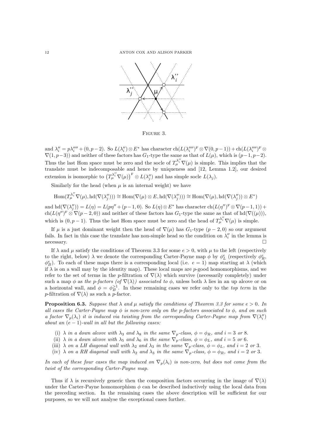

Figure 3.

and  $\lambda''_i = p\lambda'''_i + (0, p-2)$ . So  $L(\lambda''_i) \otimes E^*$  has character  $\text{ch}(L(\lambda'''_i)^F \otimes \nabla(0, p-1)) + \text{ch}(L(\lambda'''_i)^F \otimes$  $\nabla(1, p-3)$  and neither of these factors has  $G_1$ -type the same as that of  $L(\mu)$ , which is  $(p-1, p-2)$ . Thus the last Hom space must be zero and the socle of  $T_{\mu}^{\lambda''_i} \nabla(\mu)$  is simple. This implies that the translate must be indecomposable and hence by uniqueness and [12, Lemma 1.2], our desired extension is isomorphic to  $(T^{\lambda''_i}_{\mu} \nabla(\mu))^{\text{F}} \otimes L(\lambda''_j)$  and has simple socle  $L(\lambda_j)$ .

Similarly for the head (when  $\mu$  is an internal weight) we have

$$
\mathrm{Hom}(T_{\mu}^{\lambda''_i}\nabla(\mu),\mathrm{hd}(\nabla(\lambda''_j)))\cong \mathrm{Hom}(\nabla(\mu)\otimes E,\mathrm{hd}(\nabla(\lambda''_j)))\cong \mathrm{Hom}(\nabla(\mu),\mathrm{hd}(\nabla(\lambda''_j))\otimes E^*)
$$

and  $\mathrm{hd}(\nabla(\lambda_j'')) = L(\eta) = L(p\eta'' + (p-1,0)).$  So  $L(\eta) \otimes E^*$  has character  $\mathrm{ch}(L(\eta'')^F \otimes \nabla(p-1,1))$  +  $ch(L(\eta'')^F \otimes \nabla(p-2,0))$  and neither of these factors has  $G_1$ -type the same as that of  $hd(\nabla((\mu))),$ which is  $(0, p-1)$ . Thus the last Hom space must be zero and the head of  $T_{\mu}^{\lambda''} \nabla(\mu)$  is simple.

If  $\mu$  is a just dominant weight then the head of  $\nabla(\mu)$  has  $G_1$ -type  $(p-2,0)$  so our argument fails. In fact in this case the translate has non-simple head so the condition on  $\lambda''_i$  in the lemma is  $\Box$ necessary.

If  $\lambda$  and  $\mu$  satisfy the conditions of Theorem 3.3 for some  $e > 0$ , with  $\mu$  to the left (respectively to the right, below)  $\lambda$  we denote the corresponding Carter-Payne map  $\phi$  by  $\phi_L^e$  (respectively  $\phi_R^e$ ,  $\phi_B^e$ ). To each of these maps there is a corresponding local (i.e.  $e = 1$ ) map starting at  $\lambda$  (which if  $\lambda$  is on a wall may by the identity map). These local maps are p-good homomorphisms, and we refer to the set of terms in the p-filtration of  $\nabla(\lambda)$  which survive (necessarily completely) under such a map  $\phi$  as the p-factors (of  $\nabla(\lambda)$ ) associated to  $\phi$ , unless both  $\lambda$  lies in an up alcove or on a horizontal wall, and  $\phi = \phi_B^{-1}$ . In these remaining cases we refer only to the *top term* in the p-filtration of  $\nabla(\lambda)$  as such a p-factor.

**Proposition 6.3.** Suppose that  $\lambda$  and  $\mu$  satisfy the conditions of Theorem 3.3 for some  $e > 0$ . In all cases the Carter-Payne map  $\phi$  is non-zero only on the p-factors associated to  $\phi$ , and on such a factor  $\nabla_p(\lambda_i)$  it is induced via twisting from the corresponding Carter-Payne map from  $\nabla(\lambda_i'')$ about an  $(e - 1)$ -wall in all but the following cases:

- (i)  $\lambda$  in a down alcove with  $\lambda_3$  and  $\lambda_8$  in the same  $\nabla_p$ -class,  $\phi = \phi_R$ , and  $i = 3$  or 8.
- (ii)  $\lambda$  in a down alcove with  $\lambda_5$  and  $\lambda_6$  in the same  $\nabla_p$ -class,  $\phi = \phi_L$ , and  $i = 5$  or 6.
- (iii)  $\lambda$  on a LH diagonal wall with  $\lambda_2$  and  $\lambda_3$  in the same  $\nabla_p$ -class,  $\phi = \phi_L$ , and  $i = 2$  or 3.
- (iv)  $\lambda$  on a RH diagonal wall with  $\lambda_2$  and  $\lambda_3$  in the same  $\nabla_p$ -class,  $\phi = \phi_R$ , and  $i = 2$  or 3.

In each of these four cases the map induced on  $\nabla_p(\lambda_i)$  is non-zero, but does not come from the twist of the corresponding Carter-Payne map.

Thus if  $\lambda$  is recursively generic then the composition factors occurring in the image of  $\nabla(\lambda)$ under the Carter-Payne homomorphism  $\phi$  can be described inductively using the local data from the preceding section. In the remaining cases the above description will be sufficient for our purposes, so we will not analyse the exceptional cases further.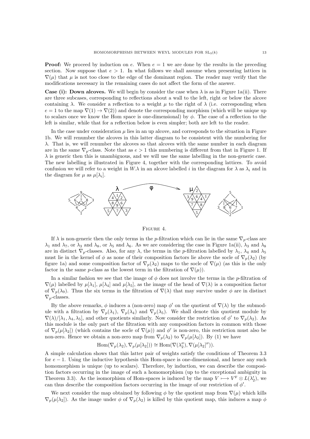**Proof:** We proceed by induction on e. When  $e = 1$  we are done by the results in the preceding section. Now suppose that  $e > 1$ . In what follows we shall assume when presenting lattices in  $\nabla(\mu)$  that  $\mu$  is not too close to the edge of the dominant region. The reader may verify that the modifications necessary in the remaining cases do not affect the form of the answer.

**Case (i): Down alcoves.** We will begin by consider the case when  $\lambda$  is as in Figure 1a(ii). There are three subcases, corresponding to reflections about a wall to the left, right or below the alcove containing  $\lambda$ . We consider a reflection to a weight  $\mu$  to the right of  $\lambda$  (i.e. corresponding when  $e = 1$  to the map  $\nabla(1) \rightarrow \nabla(2)$ ) and denote the corresponding morphism (which will be unique up to scalars once we know the Hom space is one-dimensional) by  $\phi$ . The case of a reflection to the left is similar, while that for a reflection below is even simpler; both are left to the reader.

In the case under consideration  $\mu$  lies in an up alcove, and corresponds to the situation in Figure 1b. We will renumber the alcoves in this latter diagram to be consistent with the numbering for  $\lambda$ . That is, we will renumber the alcoves so that alcoves with the same number in each diagram are in the same  $\nabla_p$ -class. Note that as  $e > 1$  this numbering is different from that in Figure 1. If  $\lambda$  is generic then this is unambiguous, and we will use the same labelling in the non-generic case. The new labelling is illustrated in Figure 4, together with the corresponding lattices. To avoid confusion we will refer to a weight in  $W.\lambda$  in an alcove labelled i in the diagram for  $\lambda$  as  $\lambda_i$  and in the diagram for  $\mu$  as  $\mu[\lambda_i]$ .



Figure 4.

If  $\lambda$  is non-generic then the only terms in the p-filtration which can lie in the same  $\nabla_p$ -class are  $\lambda_1$  and  $\lambda_7$ , or  $\lambda_3$  and  $\lambda_8$ , or  $\lambda_5$  and  $\lambda_6$ . As we are considering the case in Figure 1a(ii),  $\lambda_3$  and  $\lambda_8$ are in distinct  $\nabla_p$ -classes. Also, for any  $\lambda$ , the terms in the p-filtration labelled by  $\lambda_1$ ,  $\lambda_4$  and  $\lambda_5$ must lie in the kernel of  $\phi$  as none of their composition factors lie above the socle of  $\nabla_p(\lambda_2)$  (by figure 1a) and some composition factor of  $\nabla_p(\lambda_2)$  maps to the socle of  $\nabla(\mu)$  (as this is the only factor in the same p-class as the lowest term in the filtration of  $\nabla(\mu)$ .

In a similar fashion we see that the image of  $\phi$  does not involve the terms in the p-filtration of  $\nabla(\mu)$  labelled by  $\mu[\lambda_1], \mu[\lambda_4]$  and  $\mu[\lambda_5]$ , as the image of the head of  $\nabla(\lambda)$  is a composition factor of  $\nabla_p(\lambda_9)$ . Thus the six terms in the filtration of  $\nabla(\lambda)$  that may survive under  $\phi$  are in distinct  $\nabla_p$ -classes.

By the above remarks,  $\phi$  induces a (non-zero) map  $\phi'$  on the quotient of  $\nabla(\lambda)$  by the submodule with a filtration by  $\nabla_p(\lambda_1)$ ,  $\nabla_p(\lambda_4)$  and  $\nabla_p(\lambda_5)$ . We shall denote this quotient module by  $\nabla(\lambda)/[\lambda_1, \lambda_4, \lambda_5]$ , and other quotients similarly. Now consider the restriction of  $\phi'$  to  $\nabla_p(\lambda_2)$ . As this module is the only part of the filtration with any composition factors in common with those of  $\nabla_p(\mu[\lambda_2])$  (which contains the socle of  $\nabla(\mu)$ ) and  $\phi'$  is non-zero, this restriction must also be non-zero. Hence we obtain a non-zero map from  $\nabla_p(\lambda_2)$  to  $\nabla_p(\mu[\lambda_2])$ . By (1) we have

$$
\operatorname{Hom}(\nabla_p(\lambda_2), \nabla_p(\mu[\lambda_2])) \cong \operatorname{Hom}(\nabla(\lambda_2''), \nabla(\mu[\lambda_2]'')).
$$

A simple calculation shows that this latter pair of weights satisfy the conditions of Theorem 3.3 for  $e - 1$ . Using the inductive hypothesis this Hom-space is one-dimensional, and hence any such homomorphism is unique (up to scalars). Therefore, by induction, we can describe the composition factors occurring in the image of such a homomorphism (up to the exceptional ambiguity in Theorem 3.3). As the isomorphism of Hom-spaces is induced by the map  $V \longmapsto V^F \otimes L(\lambda'_2)$ , we can thus describe the composition factors occurring in the image of our restriction of  $\phi'$ .

We next consider the map obtained by following  $\phi$  by the quotient map from  $\nabla(\mu)$  which kills  $\nabla_p(\mu[\lambda_2])$ . As the image under  $\phi$  of  $\nabla_p(\lambda_2)$  is killed by this quotient map, this induces a map  $\phi$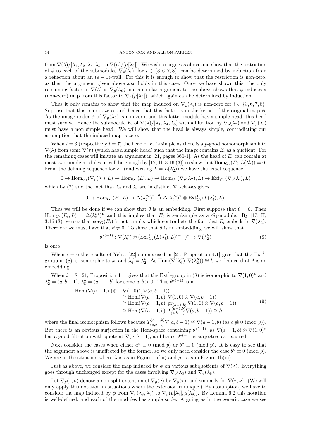from  $\nabla(\lambda)/[\lambda_1, \lambda_2, \lambda_4, \lambda_5]$  to  $\nabla(\mu)/[\mu[\lambda_2]]$ . We wish to argue as above and show that the restriction of  $\phi$  to each of the submodules  $\nabla_p(\lambda_i)$ , for  $i \in \{3,6,7,8\}$ , can be determined by induction from a reflection about an  $(e - 1)$ -wall. For this it is enough to show that the restriction is non-zero, as then the argument given above also holds in this case. Once we have shown this, the only remaining factor in  $\nabla(\lambda)$  is  $\nabla_p(\lambda_9)$  and a similar argument to the above shows that  $\phi$  induces a (non-zero) map from this factor to  $\nabla_p(\mu[\lambda_9])$ , which again can be determined by induction.

Thus it only remains to show that the map induced on  $\nabla_p(\lambda_i)$  is non-zero for  $i \in \{3,6,7,8\}$ . Suppose that this map is zero, and hence that this factor is in the kernel of the original map  $\phi$ . As the image under  $\phi$  of  $\nabla_p(\lambda_2)$  is non-zero, and this latter module has a simple head, this head must survive. Hence the submodule  $E_i$  of  $\nabla(\lambda)/[\lambda_1, \lambda_4, \lambda_5]$  with a filtration by  $\nabla_p(\lambda_2)$  and  $\nabla_p(\lambda_i)$ must have a non simple head. We will show that the head is always simple, contradicting our assumption that the induced map is zero.

When  $i = 3$  (respectively  $i = 7$ ) the head of  $E_i$  is simple as there is a p-good homomorphism into  $\nabla(\lambda)$  from some  $\nabla(\tau)$  (which has a simple head) such that the image contains  $E_i$  as a quotient. For the remaining cases will imitate an argument in [21, pages 360-1]. As the head of  $E_i$  can contain at most two simple modules, it will be enough by [17, II, 3.16 (3)] to show that  $\text{Hom}_{G_1}(E_i, L(\lambda'_2)) = 0$ . From the defining sequence for  $E_i$  (and writing  $L = L(\lambda_2')$ ) we have the exact sequence

$$
0 \to \text{Hom}_{G_1}(\nabla_p(\lambda_i), L) \to \text{Hom}_{G_1}(E_i, L) \to \text{Hom}_{G_1}(\nabla_p(\lambda_2), L) \to \text{Ext}^1_{G_1}(\nabla_p(\lambda_i), L)
$$

which by (2) and the fact that  $\lambda_2$  and  $\lambda_i$  are in distinct  $\nabla_p$ -classes gives

θ

$$
0 \to \text{Hom}_{G_1}(E_i, L) \to \Delta(\lambda_2''^*)^F \overset{\theta}{\to} \Delta(\lambda_i''^*)^F \otimes \text{Ext}^1_{G_1}(L(\lambda_i'), L).
$$

Thus we will be done if we can show that  $\theta$  is an embedding. First suppose that  $\theta = 0$ . Then  $\text{Hom}_{G_1}(E_i, L) = \Delta(\lambda_2^{\prime\prime\ast})^{\text{F}}$  and this implies that  $E_i$  is semisimple as a  $G_1$ -module. By [17, II, 3.16 (3)] we see that  $\operatorname{soc}_G(E_i)$  is not simple, which contradicts the fact that  $E_i$  embeds in  $\nabla(\lambda_2)$ . Therefore we must have that  $\theta \neq 0$ . To show that  $\theta$  is an embedding, we will show that

$$
^{*(-1)}:\nabla(\lambda_i'')\otimes(\operatorname{Ext}^1_{G_1}(L(\lambda_i'),L)^{(-1)})^*\to\nabla(\lambda_2'')
$$
\n
$$
(8)
$$

is onto.

When  $i = 6$  the results of Yehia [22] summarised in [21, Proposition 4.1] give that the Ext<sup>1</sup>group in (8) is isomorphic to k, and  $\lambda_6'' = \lambda_2''$ . As  $\text{Hom}(\nabla(\lambda_6''), \nabla(\lambda_2'')) \cong k$  we deduce that  $\theta$  is an embedding.

When  $i = 8$ , [21, Proposition 4.1] gives that the  $Ext^1$ -group in (8) is isomorphic to  $\nabla(1,0)^F$  and  $\lambda''_2 = (a, b - 1), \lambda''_8 = (a - 1, b)$  for some  $a, b > 0$ . Thus  $\theta^{*(-1)}$  is in

$$
\text{Hom}(\nabla(a-1,b) \otimes \nabla(1,0)^*, \nabla(a,b-1))
$$
\n
$$
\cong \text{Hom}(\nabla(a-1,b), \nabla(1,0) \otimes \nabla(a,b-1))
$$
\n
$$
\cong \text{Hom}(\nabla(a-1,b), \text{pr}_{(a-1,b)} \nabla(1,0) \otimes \nabla(a,b-1))
$$
\n
$$
\cong \text{Hom}(\nabla(a-1,b), T_{(a,b-1)}^{(a-1,b)} \nabla(a,b-1)) \cong k
$$
\n(9)

where the final isomorphism follows because  $T_{(a,b-1)}^{(a-1,b)}\nabla(a,b-1) \cong \nabla(a-1,b)$  (as  $b \not\equiv 0 \pmod{p}$ ). But there is an obvious surjection in the Hom-space containing  $\theta^{*(-1)}$ , as  $\nabla(a-1,b) \otimes \nabla(1,0)^*$ has a good filtration with quotient  $\nabla(a, b-1)$ , and hence  $\theta^{*(-1)}$  is surjective as required.

Next consider the cases when either  $a'' \equiv 0 \pmod{p}$  or  $b'' \equiv 0 \pmod{p}$ . It is easy to see that the argument above is unaffected by the former, so we only need consider the case  $b'' \equiv 0 \pmod{p}$ . We are in the situation where  $\lambda$  is as in Figure 1a(iii) and  $\mu$  is as in Figure 1b(iii).

Just as above, we consider the map induced by  $\phi$  on various subquotients of  $\nabla(\lambda)$ . Everything goes through unchanged except for the cases involving  $\nabla_p(\lambda_3)$  and  $\nabla_p(\lambda_8)$ .

Let  $\nabla_p(\tau,\nu)$  denote a non-split extension of  $\nabla_p(\nu)$  by  $\nabla_p(\tau)$ , and similarly for  $\nabla(\tau,\nu)$ . (We will only apply this notation in situations where the extension is unique.) By assumption, we have to consider the map induced by  $\phi$  from  $\nabla_p(\lambda_8, \lambda_3)$  to  $\nabla_p(\mu[\lambda_3], \mu[\lambda_8])$ . By Lemma 6.2 this notation is well-defined, and each of the modules has simple socle. Arguing as in the generic case we see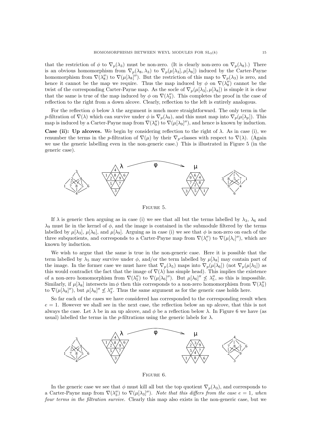that the restriction of  $\phi$  to  $\nabla_p(\lambda_3)$  must be non-zero. (It is clearly non-zero on  $\nabla_p(\lambda_8)$ .) There is an obvious homomorphism from  $\nabla_p(\lambda_8, \lambda_3)$  to  $\nabla_p(\mu[\lambda_3], \mu[\lambda_8])$  induced by the Carter-Payne homomorphism from  $\nabla(\lambda_8'')$  to  $\nabla(\mu[\lambda_8]'')$ . But the restriction of this map to  $\nabla_p(\lambda_3)$  is zero, and hence it cannot be the map we require. Thus the map induced by  $\phi$  on  $\nabla(\lambda_8'')$  cannot be the twist of the corresponding Carter-Payne map. As the socle of  $\nabla_p(\mu[\lambda_3], \mu[\lambda_8])$  is simple it is clear that the same is true of the map induced by  $\phi$  on  $\nabla(\lambda_3'')$ . This completes the proof in the case of reflection to the right from a down alcove. Clearly, reflection to the left is entirely analogous.

For the reflection  $\phi$  below  $\lambda$  the argument is much more straightforward. The only term in the p-filtration of  $\nabla(\lambda)$  which can survive under  $\phi$  is  $\nabla_p(\lambda_9)$ , and this must map into  $\nabla_p(\mu[\lambda_p])$ . This map is induced by a Carter-Payne map from  $\nabla(\lambda_9'')$  to  $\nabla(\mu[\lambda_9]'')$ , and hence is known by induction.

**Case (ii):** Up alcoves. We begin by considering reflection to the right of  $\lambda$ . As in case (i), we renumber the terms in the p-filtration of  $\nabla(\mu)$  by their  $\nabla_p$ -classes with respect to  $\nabla(\lambda)$ . (Again we use the generic labelling even in the non-generic case.) This is illustrated in Figure 5 (in the generic case).



FIGURE 5.

If  $\lambda$  is generic then arguing as in case (i) we see that all but the terms labelled by  $\lambda_3$ ,  $\lambda_6$  and  $\lambda_9$  must lie in the kernel of  $\phi$ , and the image is contained in the submodule filtered by the terms labelled by  $\mu[\lambda_3], \mu[\lambda_6]$ , and  $\mu[\lambda_9]$ . Arguing as in case (i) we see that  $\phi$  is non-zero on each of the three subquotients, and corresponds to a Carter-Payne map from  $\nabla(\lambda_i'')$  to  $\nabla(\mu[\lambda_i'']')$ , which are known by induction.

We wish to argue that the same is true in the non-generic case. Here it is possible that the term labelled by  $\lambda_5$  may survive under  $\phi$ , and/or the term labelled by  $\mu[\lambda_8]$  may contain part of the image. In the former case we must have that  $\nabla_p(\lambda_5)$  maps into  $\nabla_p(\mu[\lambda_6])$  (not  $\nabla_p(\mu[\lambda_5])$  as this would contradict the fact that the image of  $\nabla(\lambda)$  has simple head). This implies the existence of a non-zero homomorphism from  $\nabla(\lambda_5'')$  to  $\nabla(\mu[\lambda_6]'')$ . But  $\mu[\lambda_6]'' \nleq \lambda_5''$ , so this is impossible. Similarly, if  $\mu[\lambda_8]$  intersects im  $\phi$  then this corresponds to a non-zero homomorphism from  $\nabla(\lambda_3'')$ to  $\nabla(\mu[\lambda_{8}]'')$ , but  $\mu[\lambda_{8}]'' \nleq \lambda_3''$ . Thus the same argument as for the generic case holds here.

So far each of the cases we have considered has corresponded to the corresponding result when  $e = 1$ . However we shall see in the next case, the reflection below an up alcove, that this is not always the case. Let  $\lambda$  be in an up alcove, and  $\phi$  be a reflection below  $\lambda$ . In Figure 6 we have (as usual) labelled the terms in the p-filtrations using the generic labels for  $\lambda$ .



Figure 6.

In the generic case we see that  $\phi$  must kill all but the top quotient  $\nabla_p(\lambda_3)$ , and corresponds to a Carter-Payne map from  $\nabla(\lambda_3'')$  to  $\nabla(\mu[\lambda_3''])$ . Note that this differs from the case  $e=1$ , when four terms in the filtration survive. Clearly this map also exists in the non-generic case, but we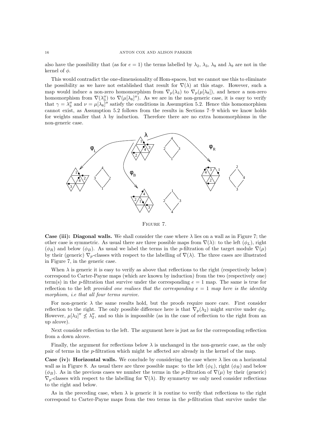also have the possibility that (as for  $e = 1$ ) the terms labelled by  $\lambda_2$ ,  $\lambda_3$ ,  $\lambda_8$  and  $\lambda_9$  are not in the kernel of  $\phi$ .

This would contradict the one-dimensionality of Hom-spaces, but we cannot use this to eliminate the possibility as we have not established that result for  $\nabla(\lambda)$  at this stage. However, such a map would induce a non-zero homomorphism from  $\nabla_p(\lambda_3)$  to  $\nabla_p(\mu[\lambda_8])$ , and hence a non-zero homomorphism from  $\nabla(\lambda_3'')$  to  $\nabla(\mu[\lambda_8]'')$ . As we are in the non-generic case, it is easy to verify that  $\gamma = \lambda_3''$  and  $\nu = \mu[\lambda_8]''$  satisfy the conditions in Assumption 5.2. Hence this homomorphism cannot exist, as Assumption 5.2 follows from the results in Sections 7–9 which we know holds for weights smaller that  $\lambda$  by induction. Therefore there are no extra homomorphisms in the non-generic case.



Figure 7.

Case (iii): Diagonal walls. We shall consider the case where  $\lambda$  lies on a wall as in Figure 7; the other case is symmetric. As usual there are three possible maps from  $\nabla(\lambda)$ : to the left  $(\phi_L)$ , right  $(\phi_R)$  and below  $(\phi_B)$ . As usual we label the terms in the p-filtration of the target module  $\nabla(\mu)$ by their (generic)  $\nabla_p$ -classes with respect to the labelling of  $\nabla(\lambda)$ . The three cases are illustrated in Figure 7, in the generic case.

When  $\lambda$  is generic it is easy to verify as above that reflections to the right (respectively below) correspond to Carter-Payne maps (which are known by induction) from the two (respectively one) term(s) in the p-filtration that survive under the corresponding  $e = 1$  map. The same is true for reflection to the left provided one realises that the corresponding  $e = 1$  map here is the identity morphism, i.e that all four terms survive.

For non-generic  $\lambda$  the same results hold, but the proofs require more care. First consider reflection to the right. The only possible difference here is that  $\nabla_p(\lambda_2)$  might survive under  $\phi_R$ . However,  $\mu[\lambda_3]'' \nleq \lambda_2''$ , and so this is impossible (as in the case of reflection to the right from an up alcove).

Next consider reflection to the left. The argument here is just as for the corresponding reflection from a down alcove.

Finally, the argument for reflections below  $\lambda$  is unchanged in the non-generic case, as the only pair of terms in the p-filtration which might be affected are already in the kernel of the map.

Case (iv): Horizontal walls. We conclude by considering the case where  $\lambda$  lies on a horizontal wall as in Figure 8. As usual there are three possible maps: to the left  $(\phi_L)$ , right  $(\phi_R)$  and below  $(\phi_B)$ . As in the previous cases we number the terms in the p-filtration of  $\nabla(\mu)$  by their (generic)  $\nabla_p$ -classes with respect to the labelling for  $\nabla(\lambda)$ . By symmetry we only need consider reflections to the right and below.

As in the preceding case, when  $\lambda$  is generic it is routine to verify that reflections to the right correspond to Carter-Payne maps from the two terms in the p-filtration that survive under the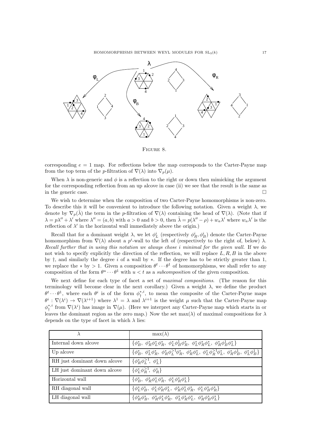HOMOMORPHISMS BETWEEN WEYL MODULES FOR  $SL_3(k)$  17



Figure 8.

corresponding  $e = 1$  map. For reflections below the map corresponds to the Carter-Payne map from the top term of the p-filtration of  $\nabla(\lambda)$  into  $\nabla_n(\mu)$ .

When  $\lambda$  is non-generic and  $\phi$  is a reflection to the right or down then mimicking the argument for the corresponding reflection from an up alcove in case (ii) we see that the result is the same as in the generic case.

We wish to determine when the composition of two Carter-Payne homomorphisms is non-zero. To describe this it will be convenient to introduce the following notation. Given a weight  $\lambda$ , we denote by  $\nabla_p(\tilde{\lambda})$  the term in the p-filtration of  $\nabla(\lambda)$  containing the head of  $\nabla(\lambda)$ . (Note that if  $\lambda = p\lambda'' + \lambda'$  where  $\lambda'' = (a, b)$  with  $a > 0$  and  $b > 0$ , then  $\tilde{\lambda} = p(\lambda'' - \rho) + w_a \lambda'$  where  $w_a \lambda'$  is the reflection of  $\lambda'$  in the horizontal wall immediately above the origin.)

Recall that for a dominant weight  $\lambda$ , we let  $\phi_L^i$  (respectively  $\phi_R^i, \phi_B^i$ ) denote the Carter-Payne homomorphism from  $\nabla(\lambda)$  about a p<sup>i</sup>-wall to the left of (respectively to the right of, below)  $\lambda$ . Recall further that in using this notation we always chose i minimal for the given wall. If we do not wish to specify explicitly the direction of the reflection, we will replace  $L, R, B$  in the above by †, and similarly the degree i of a wall by ∗. If the degree has to be strictly greater than 1, we replace the  $*$  by  $> 1$ . Given a composition  $\theta^t \cdots \theta^1$  of homomorphisms, we shall refer to any composition of the form  $\theta^u \cdots \theta^1$  with  $u < t$  as a subcomposition of the given composition.

We next define for each type of facet a set of maximal compositions. (The reason for this terminology will become clear in the next corollary.) Given a weight  $\lambda$ , we define the product  $\theta^t \cdots \theta^1$ , where each  $\theta^i$  is of the form  $\phi^{*,i}_\dagger$ , to mean the composite of the Carter-Payne maps  $\theta^i : \nabla(\lambda^i) \to \nabla(\lambda^{i+1})$  where  $\lambda^1 = \lambda$  and  $\lambda^{i+1}$  is the weight  $\mu$  such that the Carter-Payne map  $\phi_{\dagger}^{*,i}$  from  $\nabla(\lambda^i)$  has image in  $\nabla(\mu)$ . (Here we interpret any Carter-Payne map which starts in or leaves the dominant region as the zero map.) Now the set  $max(\lambda)$  of maximal compositions for  $\lambda$ depends on the type of facet in which  $\lambda$  lies:

|                              | $\max(\lambda)$                                                                                                                                    |
|------------------------------|----------------------------------------------------------------------------------------------------------------------------------------------------|
| Internal down alcove         | $\{\phi_B^*, \phi_B^*\phi_L^*, \phi_B^*, \phi_L^*\phi_B^!\phi_R^*, \phi_L^*\phi_R^*\phi_L^*, \phi_B^*\phi_B^!\phi_L^*\}$                           |
| Up alcove                    | $\{\phi_B^*, \phi_L^*, \phi_B^*, \phi_B^*\phi_L^{-1}\phi_B^*, \phi_B^*\phi_L^*, \phi_L^*\phi_B^{-1}\phi_L^*, \phi_B^*\phi_B^1, \phi_L^*\phi_B^1\}$ |
| RH just dominant down alcove | $\{\phi_B^*\phi_L^{-1}, \phi_L^*\}$                                                                                                                |
| LH just dominant down alcove | $\{\phi_L^*\phi_R^{>1}, \phi_R^*\}$                                                                                                                |
| Horizontal wall              | $\{\phi_B^*, \phi_B^*\phi_L^*\phi_B^*, \phi_L^*\phi_B^*\phi_L^*\}$                                                                                 |
| RH diagonal wall             | $\{\phi_L^*, \phi_B^*, \phi_L^*, \phi_B^*, \phi_L^*, \phi_B^*, \phi_L^*, \phi_L^*, \phi_B^*, \phi_B^*\}$                                           |
| LH diagonal wall             | $\{\phi_B^*\phi_B^*, \phi_B^*\phi_L^*\phi_B^*, \phi_L^*\phi_B^*\phi_L^*, \phi_B^*\phi_B^*\phi_L^*\}$                                               |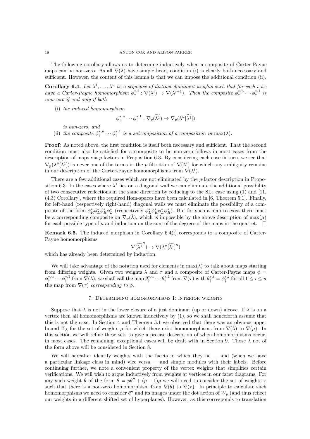The following corollary allows us to determine inductively when a composite of Carter-Payne maps can be non-zero. As all  $\nabla(\lambda)$  have simple head, condition (i) is clearly both necessary and sufficient. However, the content of this lemma is that we can impose the additional condition (ii).

**Corollary 6.4.** Let  $\lambda^1, \ldots, \lambda^u$  be a sequence of distinct dominant weights such that for each i we have a Carter-Payne homomorphism  $\phi^{*,i}_\dagger : \nabla(\lambda^i) \to \nabla(\lambda^{i+1})$ . Then the composite  $\phi^{*,u}_\dagger \cdots \phi^{*,1}_\dagger$  is non-zero if and only if both

(i) the induced homomorphism

$$
\phi_{\dagger}^{*,u} \cdots \phi_{\dagger}^{*,1} : \nabla_p(\widetilde{\lambda^1}) \to \nabla_p(\lambda^u[\widetilde{\lambda^1}])
$$

is non-zero, and

(ii) the composite  $\phi_1^{*,u} \cdots \phi_l^{*,1}$  is a subcomposition of a composition in  $\max(\lambda)$ .

Proof: As noted above, the first condition is itself both necessary and sufficient. That the second condition must also be satisfied for a composite to be non-zero follows in most cases from the description of maps via p-factors in Proposition 6.3. By considering each case in turn, we see that  $\nabla_p(\lambda^u[\lambda^1])$  is never one of the terms in the p-filtration of  $\nabla(\lambda^i)$  for which any ambiguity remains in our description of the Carter-Payne homomorphisms from  $\nabla(\lambda^i)$ .

There are a few additional cases which are not eliminated by the p-factor description in Proposition 6.3. In the cases where  $\lambda^1$  lies on a diagonal wall we can eliminate the additional possibility of two consecutive reflections in the same direction by reducing to the  $SL_2$  case using (1) and [11, (4.3) Corollary], where the required Hom-spaces have been calculated in [6, Theorem 5.1]. Finally, for left-hand (respectively right-hand) diagonal walls we must eliminate the possibility of a composite of the form  $\phi_R^* \phi_L^* \phi_R^* \phi_L^*$  (respectively  $\phi_L^* \phi_R^* \phi_L^* \phi_R^*$ ). But for such a map to exist there must be a corresponding composite on  $\nabla_p(\tilde{\lambda})$ , which is impossible by the above description of max( $\mu$ ) for each possible type of  $\mu$  and induction on the sum of the degrees of the maps in the quartet.  $\Box$ 

Remark 6.5. The induced morphism in Corollary 6.4(i) corresponds to a composite of Carter-Payne homomorphisms

$$
\nabla(\widetilde{\lambda^1}'') \to \nabla(\lambda^u[\widetilde{\lambda^1}]'')
$$

which has already been determined by induction.

We will take advantage of the notation used for elements in  $\max(\lambda)$  to talk about maps starting from differing weights. Given two weights  $\lambda$  and  $\tau$  and a composite of Carter-Payne maps  $\phi =$  $\phi_{\dagger}^{*,u} \cdots \phi_{\dagger}^{*,1}$  from  $\nabla(\lambda)$ , we shall call the map  $\theta_{\dagger}^{*,u} \cdots \theta_{\dagger}^{*,1}$  from  $\nabla(\tau)$  with  $\theta_{\dagger}^{*,i} = \phi_{\dagger}^{*,i}$  for all  $1 \leq i \leq u$ the map from  $\nabla(\tau)$  corresponding to  $\phi$ .

#### 7. Determining homomorphisms I: interior weights

Suppose that  $\lambda$  is not in the lower closure of a just dominant (up or down) alcove. If  $\lambda$  is on a vertex then all homomorphisms are known inductively by (1), so we shall henceforth assume that this is not the case. In Section 4 and Theorem 5.1 we observed that there was an obvious upper bound  $\Upsilon_{\lambda}$  for the set of weights  $\mu$  for which there exist homomorphisms from  $\nabla(\lambda)$  to  $\nabla(\mu)$ . In this section we will refine these sets to give a precise description of when homomorphisms occur, in most cases. The remaining, exceptional cases will be dealt with in Section 9. Those  $\lambda$  not of the form above will be considered in Section 8.

We will hereafter identify weights with the facets in which they lie  $-$  and (when we have a particular linkage class in mind) vice versa — and simple modules with their labels. Before continuing further, we note a convenient property of the vertex weights that simplifies certain verifications. We will wish to argue inductively from weights at vertices in our facet diagrams. For any such weight  $\theta$  of the form  $\theta = p\theta'' + (p-1)\rho$  we will need to consider the set of weights  $\tau$ such that there is a non-zero homomorphism from  $\nabla(\theta)$  to  $\nabla(\tau)$ . In principle to calculate such homomorphisms we need to consider  $\theta''$  and its images under the dot action of  $W_p$  (and thus reflect our weights in a different shifted set of hyperplanes). However, as this corresponds to translation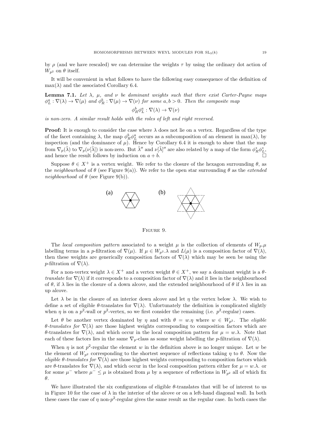by  $\rho$  (and we have rescaled) we can determine the weights  $\tau$  by using the ordinary dot action of  $W_{n^2}$  on  $\theta$  itself.

It will be convenient in what follows to have the following easy consequence of the definition of  $\max(\lambda)$  and the associated Corollary 6.4.

**Lemma 7.1.** Let  $\lambda$ ,  $\mu$ , and  $\nu$  be dominant weights such that there exist Carter-Payne maps  $\phi_L^a : \nabla(\lambda) \to \nabla(\mu)$  and  $\phi_R^b : \nabla(\mu) \to \nabla(\nu)$  for some  $a, b > 0$ . Then the composite map

$$
\phi^b_R \phi^a_L : \nabla(\lambda) \to \nabla(\nu)
$$

is non-zero. A similar result holds with the roles of left and right reversed.

**Proof:** It is enough to consider the case where  $\lambda$  does not lie on a vertex. Regardless of the type of the facet containing  $\lambda$ , the map  $\phi_R^b \phi_L^a$  occurs as a subcomposition of an element in max( $\lambda$ ), by inspection (and the dominance of  $\mu$ ). Hence by Corollary 6.4 it is enough to show that the map from  $\nabla_p(\tilde{\lambda})$  to  $\nabla_p(\nu[\tilde{\lambda}])$  is non-zero. But  $\tilde{\lambda}''$  and  $\nu[\tilde{\lambda}]''$  are also related by a map of the form  $\phi_R^*\phi_L^*$ , and hence the result follows by induction on  $a + b$ .

Suppose  $\theta \in X^+$  is a vertex weight. We refer to the closure of the hexagon surrounding  $\theta$ , as the neighbourhood of  $\theta$  (see Figure 9(a)). We refer to the open star surrounding  $\theta$  as the *extended* neighbourhood of  $\theta$  (see Figure 9(b)).



Figure 9.

The local composition pattern associated to a weight  $\mu$  is the collection of elements of  $W_p$ . labelling terms in a p-filtration of  $\nabla(\mu)$ . If  $\mu \in W_{p^2}$ . A and  $L(\mu)$  is a composition factor of  $\nabla(\lambda)$ , then these weights are generically composition factors of  $\nabla(\lambda)$  which may be seen be using the p-filtration of  $\nabla(\lambda)$ .

For a non-vertex weight  $\lambda \in X^+$  and a vertex weight  $\theta \in X^+$ , we say a dominant weight is a  $\theta$ translate for  $\nabla(\lambda)$  if it corresponds to a composition factor of  $\nabla(\lambda)$  and it lies in the neighbourhood of  $\theta$ , if  $\lambda$  lies in the closure of a down alcove, and the extended neighbourhood of  $\theta$  if  $\lambda$  lies in an up alcove.

Let  $\lambda$  be in the closure of an interior down alcove and let  $\eta$  the vertex below  $\lambda$ . We wish to define a set of eligible  $\theta$ -translates for  $\nabla(\lambda)$ . Unfortunately the definition is complicated slightly when  $\eta$  is on a  $p^2$ -wall or  $p^2$ -vertex, so we first consider the remaining (i.e.  $p^2$ -regular) cases.

Let  $\theta$  be another vertex dominated by  $\eta$  and with  $\theta = w.\eta$  where  $w \in W_{p^2}$ . The *eligible* θ-translates for  $\nabla(\lambda)$  are those highest weights corresponding to composition factors which are θ-translates for ∇(λ), and which occur in the local composition pattern for µ = w.λ. Note that each of these factors lies in the same  $\nabla_p$ -class as some weight labelling the p-filtration of  $\nabla(\lambda)$ .

When  $\eta$  is not  $p^2$ -regular the element w in the definition above is no longer unique. Let w be the element of  $W_{n^2}$  corresponding to the shortest sequence of reflections taking  $\eta$  to  $\theta$ . Now the eligible  $\theta$ -translates for  $\nabla(\lambda)$  are those highest weights corresponding to composition factors which are θ-translates for  $\nabla(\lambda)$ , and which occur in the local composition pattern either for  $\mu = w.\lambda$ . or for some  $\mu^-$  where  $\mu^- \leq \mu$  is obtained from  $\mu$  by a sequence of reflections in  $W_{p^2}$  all of which fix θ.

We have illustrated the six configurations of eligible  $\theta$ -translates that will be of interest to us in Figure 10 for the case of  $\lambda$  in the interior of the alcove or on a left-hand diagonal wall. In both these cases the case of  $\eta$  non- $p^2$ -regular gives the same result as the regular case. In both cases the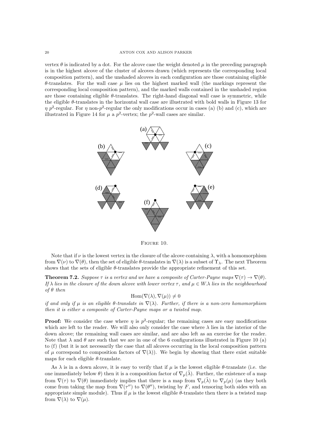vertex  $\theta$  is indicated by a dot. For the alcove case the weight denoted  $\mu$  in the preceding paragraph is in the highest alcove of the cluster of alcoves drawn (which represents the corresponding local composition pattern), and the unshaded alcoves in each configuration are those containing eligible  $θ$ -translates. For the wall case  $μ$  lies on the highest marked wall (the markings represent the corresponding local composition pattern), and the marked walls contained in the unshaded region are those containing eligible  $\theta$ -translates. The right-hand diagonal wall case is symmetric, while the eligible θ-translates in the horizontal wall case are illustrated with bold walls in Figure 13 for  $\eta$  p<sup>2</sup>-regular. For  $\eta$  non-p<sup>2</sup>-regular the only modifications occur in cases (a) (b) and (c), which are illustrated in Figure 14 for  $\mu$  a  $p^2$ -vertex; the  $p^2$ -wall cases are similar.



Figure 10.

Note that if  $\nu$  is the lowest vertex in the closure of the alcove containing  $\lambda$ , with a homomorphism from  $\nabla(\nu)$  to  $\nabla(\theta)$ , then the set of eligible  $\theta$ -translates in  $\nabla(\lambda)$  is a subset of  $\Upsilon_{\lambda}$ . The next Theorem shows that the sets of eligible  $\theta$ -translates provide the appropriate refinement of this set.

**Theorem 7.2.** Suppose  $\tau$  is a vertex and we have a composite of Carter-Payne maps  $\nabla(\tau) \rightarrow \nabla(\theta)$ . If  $\lambda$  lies in the closure of the down alcove with lower vertex  $\tau$ , and  $\mu \in W$ . A lies in the neighbourhood of  $\theta$  then

$$
Hom(\nabla(\lambda), \nabla(\mu)) \neq 0
$$

if and only if  $\mu$  is an eligible  $\theta$ -translate in  $\nabla(\lambda)$ . Further, if there is a non-zero homomorphism then it is either a composite of Carter-Payne maps or a twisted map.

**Proof:** We consider the case where  $\eta$  is  $p^2$ -regular; the remaining cases are easy modifications which are left to the reader. We will also only consider the case where  $\lambda$  lies in the interior of the down alcove; the remaining wall cases are similar, and are also left as an exercise for the reader. Note that  $\lambda$  and  $\theta$  are such that we are in one of the 6 configurations illustrated in Figure 10 (a) to (f) (but it is not necessarily the case that all alcoves occurring in the local composition pattern of  $\mu$  correspond to composition factors of  $\nabla(\lambda)$ . We begin by showing that there exist suitable maps for each eligible  $\theta$ -translate.

As  $\lambda$  is in a down alcove, it is easy to verify that if  $\mu$  is the lowest eligible  $\theta$ -translate (i.e. the one immediately below  $\theta$ ) then it is a composition factor of  $\nabla_n(\tilde{\lambda})$ . Further, the existence of a map from  $\nabla(\tau)$  to  $\nabla(\theta)$  immediately implies that there is a map from  $\nabla_p(\tilde{\lambda})$  to  $\nabla_p(\mu)$  (as they both come from taking the map from  $\nabla(\tau'')$  to  $\nabla(\theta'')$ , twisting by F, and tensoring both sides with an appropriate simple module). Thus if  $\mu$  is the lowest eligible  $\theta$ -translate then there is a twisted map from  $\nabla(\lambda)$  to  $\nabla(\mu)$ .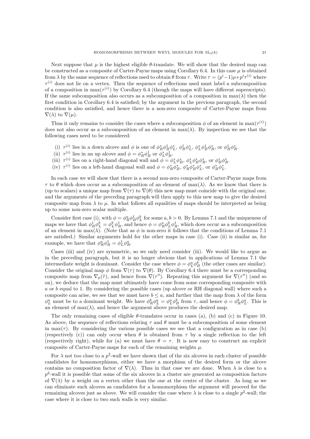Next suppose that  $\mu$  is the highest eligible  $\theta$ -translate. We will show that the desired map can be constructed as a composite of Carter-Payne maps using Corollary 6.4. In this case  $\mu$  is obtained from  $\lambda$  by the same sequence of reflections used to obtain  $\theta$  from  $\tau$ . Write  $\tau = (p^i-1)\rho + p^i \tau^{(i)}$  where  $\tau^{(i)}$  does not lie on a vertex. Then the sequence of reflections used must label a subcomposition of a composition in  $\max(\tau^{(i)})$  by Corollary 6.4 (though the maps will have different superscripts). If the same subcomposition also occurs as a subcomposition of a composition in  $\max(\lambda)$  then the first condition in Corollary 6.4 is satisfied; by the argument in the previous paragraph, the second condition is also satisfied, and hence there is a non-zero composite of Carter-Payne maps from  $\nabla(\lambda)$  to  $\nabla(\mu)$ .

Thus it only remains to consider the cases where a subcomposition  $\phi$  of an element in  $\max(\tau^{(i)})$ does not also occur as a subcomposition of an element in  $max(\lambda)$ . By inspection we see that the following cases need to be considered:

- (i)  $\tau^{(i)}$  lies in a down alcove and  $\phi$  is one of  $\phi_R^* \phi_B^1 \phi_L^*, \phi_B^1 \phi_L^*, \phi_L^* \phi_B^1 \phi_R^*,$  or  $\phi_B^1 \phi_R^*$ .
- (ii)  $\tau^{(i)}$  lies in an up alcove and  $\phi = \phi_R^* \phi_B^1$  or  $\phi_L^* \phi_B^1$ .
- (iii)  $\tau^{(i)}$  lies on a right-hand diagonal wall and  $\phi = \phi_L^* \phi_B^*, \phi_L^* \phi_B^* \phi_R^*,$  or  $\phi_B^* \phi_R^*$ .
- (iv)  $\tau^{(i)}$  lies on a left-hand diagonal wall and  $\phi = \phi_R^* \phi_B^*, \phi_R^* \phi_B^* \phi_L^*,$  or  $\phi_B^* \phi_L^*$ .

In each case we will show that there is a second non-zero composite of Carter-Payne maps from  $\tau$  to  $\theta$  which does occur as a subcomposition of an element of max( $\lambda$ ). As we know that there is (up to scalars) a unique map from  $\nabla(\tau)$  to  $\nabla(\theta)$  this new map must coincide with the original one, and the arguments of the preceding paragraph will then apply to this new map to give the desired composite map from  $\lambda$  to  $\mu$ . In what follows all equalities of maps should be interpreted as being up to some non-zero scalar multiple.

Consider first case (i), with  $\phi = \phi_R^a \phi_B^1 \phi_L^b$  for some  $a, b > 0$ . By Lemma 7.1 and the uniqueness of maps we have that  $\phi_B^1 \phi_L^b = \phi_L^b \phi_R^1$ , and hence  $\phi = \phi_R^a \phi_L^b \phi_R^1$ , which does occur as a subcomposition of an element in max( $\lambda$ ). (Note that as  $\phi$  is non-zero it follows that the conditions of Lemma 7.1 are satisfied.) Similar arguments hold for the other maps in case (i). Case (ii) is similar as, for example, we have that  $\phi_R^a \phi_B^1 = \phi_L^1 \phi_R^a$ .

Cases (iii) and (iv) are symmetric, so we only need consider (iii). We would like to argue as in the preceding paragraph, but it is no longer obvious that in applications of Lemma 7.1 the intermediate weight is dominant. Consider the case where  $\phi = \phi_L^a \phi_B^b$  (the other cases are similar). Consider the original map  $\phi$  from  $\nabla(\tau)$  to  $\nabla(\theta)$ . By Corollary 6.4 there must be a corresponding composite map from  $\nabla_p(\tilde{\tau})$ , and hence from  $\nabla(\tau'')$ . Repeating this argument for  $\nabla(\tau'')$  (and so on), we deduce that the map must ultimately have come from some corresponding composite with a or b equal to 1. By considering the possible cases (up alcove or RH diagonal wall) where such a composite can arise, we see that we must have  $b \le a$ , and further that the map from  $\lambda$  of the form  $\phi_L^a$  must be to a dominant weight. We have  $\phi_R^b \phi_L^a = \phi_L^a \phi_B^b$  from  $\tau$ , and hence  $\phi = \phi_R^b \phi_L^a$ . This is an element of  $max(\lambda)$ , and hence the argument above produces the desired map.

The only remaining cases of eligible  $\theta$ -translates occur in cases (a), (b) and (c) in Figure 10. As above, the sequence of reflections relating  $\tau$  and  $\theta$  must be a subcomposition of some element in max( $\tau$ ). By considering the various possible cases we see that a configuration as in case (b) (respectively (c)) can only occur when  $\theta$  is obtained from  $\tau$  by a single reflection to the left (respectively right), while for (a) we must have  $\theta = \tau$ . It is now easy to construct an explicit composite of Carter-Payne maps for each of the remaining weights  $\mu$ .

For  $\lambda$  not too close to a  $p^2$ -wall we have shown that of the six alcoves in each cluster of possible candidates for homomorphisms, either we have a morphism of the desired form or the alcove contains no composition factor of  $\nabla(\lambda)$ . Thus in that case we are done. When  $\lambda$  is close to a  $p^2$ -wall it is possible that some of the six alcoves in a cluster are generated as composition factors of  $\nabla(\lambda)$  by a weight on a vertex other than the one at the centre of the cluster. As long as we can eliminate such alcoves as candidates for a homomorphism the argument will proceed for the remaining alcoves just as above. We will consider the case where  $\lambda$  is close to a single  $p^2$ -wall; the case where it is close to two such walls is very similar.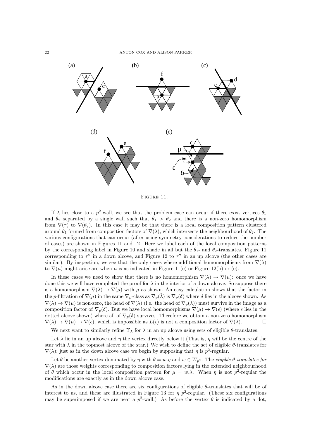

Figure 11.

If  $\lambda$  lies close to a  $p^2$ -wall, we see that the problem case can occur if there exist vertices  $\theta_1$ and  $\theta_2$  separated by a single wall such that  $\theta_1 > \theta_2$  and there is a non-zero homomorphism from  $\nabla(\tau)$  to  $\nabla(\theta_2)$ . In this case it may be that there is a local composition pattern clustered around  $\theta_1$  formed from composition factors of  $\nabla(\lambda)$ , which intersects the neighbourhood of  $\theta_2$ . The various configurations that can occur (after using symmetry considerations to reduce the number of cases) are shown in Figures 11 and 12. Here we label each of the local composition patterns by the corresponding label in Figure 10 and shade in all but the  $\theta_1$ - and  $\theta_2$ -translates. Figure 11 corresponding to  $\tau''$  in a down alcove, and Figure 12 to  $\tau''$  in an up alcove (the other cases are similar). By inspection, we see that the only cases where additional homomorphisms from  $\nabla(\lambda)$ to  $\nabla(\mu)$  might arise are when  $\mu$  is as indicated in Figure 11(e) or Figure 12(b) or (e).

In these cases we need to show that there is no homomorphism  $\nabla(\lambda) \to \nabla(\mu)$ : once we have done this we will have completed the proof for  $\lambda$  in the interior of a down alcove. So suppose there is a homomorphism  $\nabla(\lambda) \to \nabla(\mu)$  with  $\mu$  as shown. An easy calculation shows that the factor in the p-filtration of  $\nabla(\mu)$  in the same  $\nabla_p$ -class as  $\nabla_p(\lambda)$  is  $\nabla_p(\delta)$  where  $\delta$  lies in the alcove shown. As  $\nabla(\lambda) \to \nabla(\mu)$  is non-zero, the head of  $\nabla(\lambda)$  (i.e. the head of  $\nabla_p(\tilde{\lambda})$ ) must survive in the image as a composition factor of  $\nabla_p(\delta)$ . But we have local homomorphisms  $\nabla(\mu) \to \nabla(\epsilon)$  (where  $\epsilon$  lies in the dotted alcove shown) where all of  $\nabla_p(\delta)$  survives. Therefore we obtain a non-zero homomorphism  $\nabla(\lambda) \to \nabla(\mu) \to \nabla(\epsilon)$ , which is impossible as  $L(\epsilon)$  is not a composition factor of  $\nabla(\lambda)$ .

We next want to similarly refine  $\Upsilon_{\lambda}$  for  $\lambda$  in an up alcove using sets of eligible  $\theta$ -translates.

Let  $\lambda$  lie in an up alcove and  $\eta$  the vertex directly below it. (That is,  $\eta$  will be the centre of the star with  $\lambda$  in the topmost alcove of the star.) We wish to define the set of eligible  $\theta$ -translates for  $\nabla(\lambda)$ ; just as in the down alcove case we begin by supposing that  $\eta$  is  $p^2$ -regular.

Let  $\theta$  be another vertex dominated by  $\eta$  with  $\theta = w.\eta$  and  $w \in W_{p^2}$ . The *eligible*  $\theta$ -translates for  $\nabla(\lambda)$  are those weights corresponding to composition factors lying in the extended neighbourhood of  $\theta$  which occur in the local composition pattern for  $\mu = w.\lambda$ . When  $\eta$  is not  $p^2$ -regular the modifications are exactly as in the down alcove case.

As in the down alcove case there are six configurations of eligible  $\theta$ -translates that will be of interest to us, and these are illustrated in Figure 13 for  $\eta$   $p^2$ -regular. (These six configurations may be superimposed if we are near a  $p^2$ -wall.) As before the vertex  $\theta$  is indicated by a dot,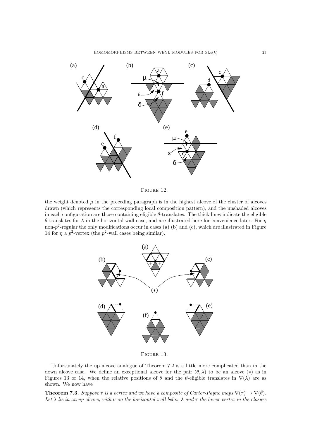

Figure 12.

the weight denoted  $\mu$  in the preceding paragraph is in the highest alcove of the cluster of alcoves drawn (which represents the corresponding local composition pattern), and the unshaded alcoves in each configuration are those containing eligible  $\theta$ -translates. The thick lines indicate the eligible θ-translates for λ in the horizontal wall case, and are illustrated here for convenience later. For η non- $p^2$ -regular the only modifications occur in cases (a) (b) and (c), which are illustrated in Figure 14 for  $\eta$  a  $p^2$ -vertex (the  $p^2$ -wall cases being similar).



Figure 13.

Unfortunately the up alcove analogue of Theorem 7.2 is a little more complicated than in the down alcove case. We define an exceptional alcove for the pair  $(\theta, \lambda)$  to be an alcove (\*) as in Figures 13 or 14, when the relative positions of  $\theta$  and the  $\theta$ -eligible translates in  $\nabla(\lambda)$  are as shown. We now have

**Theorem 7.3.** Suppose  $\tau$  is a vertex and we have a composite of Carter-Payne maps  $\nabla(\tau) \to \nabla(\hat{\theta})$ . Let  $\lambda$  lie in an up alcove, with  $\nu$  on the horizontal wall below  $\lambda$  and  $\tau$  the lower vertex in the closure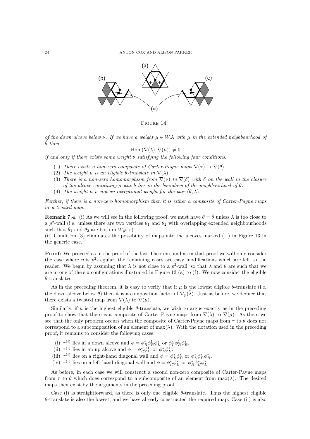

FIGURE 14.

of the down alcove below  $\nu$ . If we have a weight  $\mu \in W$ . A with  $\mu$  in the extended neighbourhood of  $\hat{\theta}$  then

#### $\text{Hom}(\nabla(\lambda), \nabla(\mu)) \neq 0$

if and only if there exists some weight  $\theta$  satisfying the following four conditions:

- (1) There exists a non-zero composite of Carter-Payne maps  $\nabla(\tau) \rightarrow \nabla(\theta)$ .
- (2) The weight  $\mu$  is an eligible  $\theta$ -translate in  $\nabla(\lambda)$ .
- (3) There is a non-zero homomorphism from  $\nabla(\nu)$  to  $\nabla(\delta)$  with  $\delta$  on the wall in the closure of the alcove containing  $\mu$  which lies in the boundary of the neighbourhood of  $\theta$ .
- (4) The weight  $\mu$  is not an exceptional weight for the pair  $(\theta, \lambda)$ .

Further, if there is a non-zero homomorphism then it is either a composite of Carter-Payne maps or a twisted map.

**Remark 7.4.** (i) As we will see in the following proof, we must have  $\theta = \hat{\theta}$  unless  $\lambda$  is too close to a  $p^2$ -wall (i.e. unless there are two vertices  $\theta_1$  and  $\theta_2$  with overlapping extended neighbourhoods such that  $\theta_1$  and  $\theta_2$  are both in  $W_{p^2}$ . $\tau$ ).

(ii) Condition (3) eliminates the possibility of maps into the alcoves marked (+) in Figure 13 in the generic case.

Proof: We proceed as in the proof of the last Theorem, and as in that proof we will only consider the case where  $\eta$  is  $p^2$ -regular; the remaining cases are easy modifications which are left to the reader. We begin by assuming that  $\lambda$  is not close to a  $p^2$ -wall, so that  $\lambda$  and  $\theta$  are such that we are in one of the six configurations illustrated in Figure 13 (a) to (f). We now consider the eligible  $\theta$ -translates.

As in the preceding theorem, it is easy to verify that if  $\mu$  is the lowest eligible  $\theta$ -translate (i.e. the down alcove below  $\theta$ ) then it is a composition factor of  $\nabla_p(\tilde{\lambda})$ . Just as before, we deduce that there exists a twisted map from  $\nabla(\lambda)$  to  $\nabla(\mu)$ .

Similarly, if  $\mu$  is the highest eligible  $\theta$ -translate, we wish to argue exactly as in the preceding proof to show that there is a composite of Carter-Payne maps from  $\nabla(\lambda)$  to  $\nabla(\mu)$ . As there we see that the only problem occurs when the composite of Carter-Payne maps from  $\tau$  to  $\theta$  does not correspond to a subcomposition of an element of  $\max(\lambda)$ . With the notation used in the preceding proof, it remains to consider the following cases:

- (i)  $\tau^{(i)}$  lies in a down alcove and  $\phi = \phi_R^* \phi_B^1 \phi_L^*$  or  $\phi_L^* \phi_B^1 \phi_R^*$ .
- (ii)  $\tau^{(i)}$  lies in an up alcove and  $\phi = \phi_R^* \phi_B^1$  or  $\phi_L^* \phi_B^1$ .
- (iii)  $\tau^{(i)}$  lies on a right-hand diagonal wall and  $\phi = \phi_L^* \phi_B^*$  or  $\phi_L^* \phi_B^* \phi_R^*$ .
- (iv)  $\tau^{(i)}$  lies on a left-hand diagonal wall and  $\phi = \phi_R^* \phi_B^*$  or  $\phi_R^* \phi_B^* \phi_L^*$ .

As before, in each case we will construct a second non-zero composite of Carter-Payne maps from  $\tau$  to  $\theta$  which does correspond to a subcomposite of an element from  $\max(\lambda)$ . The desired maps then exist by the arguments in the preceding proof.

Case (i) is straightforward, as there is only one eligible θ-translate. Thus the highest eligible  $\theta$ -translate is also the lowest, and we have already constructed the required map. Case (ii) is also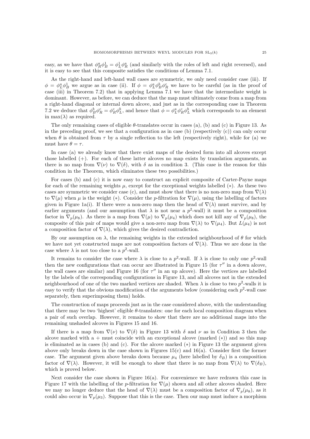easy, as we have that  $\phi_R^a \phi_B^1 = \phi_L^1 \phi_R^a$  (and similarly with the roles of left and right reversed), and it is easy to see that this composite satisfies the conditions of Lemma 7.1.

As the right-hand and left-hand wall cases are symmetric, we only need consider case (iii). If  $\phi = \phi_L^a \phi_B^1$  we argue as in case (ii). If  $\phi = \phi_L^a \phi_B^b \phi_R^c$  we have to be careful (as in the proof of case (iii) in Theorem 7.2) that in applying Lemma 7.1 we have that the intermediate weight is dominant. However, as before, we can deduce that the map must ultimately come from a map from a right-hand diagonal or internal down alcove, and just as in the corresponding case in Theorem 7.2 we deduce that  $\phi_B^b \phi_R^c = \phi_R^c \phi_L^b$ , and hence that  $\phi = \phi_L^a \phi_R^c \phi_L^b$  which corresponds to an element in max( $\lambda$ ) as required.

The only remaining cases of eligible  $\theta$ -translates occur in cases (a), (b) and (c) in Figure 13. As in the preceding proof, we see that a configuration as in case (b) (respectively  $(c)$ ) can only occur when  $\theta$  is obtained from  $\tau$  by a single reflection to the left (respectively right), while for (a) we must have  $\theta = \tau$ .

In case (a) we already know that there exist maps of the desired form into all alcoves except those labelled (+). For each of these latter alcoves no map exists by translation arguments, as there is no map from  $\nabla(\nu)$  to  $\nabla(\delta)$ , with  $\delta$  as in condition 3. (This case is the reason for this condition in the Theorem, which eliminates these two possibilities.)

For cases (b) and (c) it is now easy to construct an explicit composite of Carter-Payne maps for each of the remaining weights  $\mu$ , except for the exceptional weights labelled (\*). As these two cases are symmetric we consider case (c), and must show that there is no non-zero map from  $\nabla(\lambda)$ to  $\nabla(\mu)$  when  $\mu$  is the weight (\*). Consider the p-filtration for  $\nabla(\mu)$ , using the labelling of factors given in Figure 1a(i). If there were a non-zero map then the head of  $\nabla(\lambda)$  must survive, and by earlier arguments (and our assumption that  $\lambda$  is not near a  $p^2$ -wall) it must be a composition factor in  $\nabla_p(\mu_8)$ . As there is a map from  $\nabla(\mu)$  to  $\nabla_p(\mu_4)$  which does not kill any of  $\nabla_p(\mu_8)$ , the composite of this pair of maps would give a non-zero map from  $\nabla(\lambda)$  to  $\nabla(\mu_4)$ . But  $L(\mu_4)$  is not a composition factor of  $\nabla(\lambda)$ , which gives the desired contradiction.

By our assumption on  $\lambda$ , the remaining weights in the extended neighbourhood of  $\theta$  for which we have not yet constructed maps are not composition factors of  $\nabla(\lambda)$ . Thus we are done in the case where  $\lambda$  is not too close to a  $p^2$ -wall.

It remains to consider the case where  $\lambda$  is close to a  $p^2$ -wall. If  $\lambda$  is close to only one  $p^2$ -wall then the new configurations that can occur are illustrated in Figure 15 (for  $\tau''$  in a down alcove, the wall cases are similar) and Figure 16 (for  $\tau''$  in an up alcove). Here the vertices are labelled by the labels of the corresponding configurations in Figure 13, and all alcoves not in the extended neighbourhood of one of the two marked vertices are shaded. When  $\lambda$  is close to two  $p^2$ -walls it is easy to verify that the obvious modification of the arguments below (considering each  $p^2$ -wall case separately, then superimposing them) holds.

The construction of maps proceeds just as in the case considered above, with the understanding that there may be two 'highest' eligible θ-translates: one for each local composition diagram when a pair of such overlap. However, it remains to show that there are no additional maps into the remaining unshaded alcoves in Figures 15 and 16.

If there is a map from  $\nabla(\nu)$  to  $\nabla(\delta)$  in Figure 13 with  $\delta$  and  $\nu$  as in Condition 3 then the alcove marked with a + must coincide with an exceptional alcove (marked  $(*)$ ) and so this map is eliminated as in cases (b) and (c). For the alcove marked (∗) in Figure 13 the argument given above only breaks down in the case shown in Figures  $15(c)$  and  $16(a)$ . Consider first the former case. The argument given above breaks down because  $\mu_4$  (here labelled by  $\delta_B$ ) is a composition factor of  $\nabla(\lambda)$ . However, it will be enough to show that there is no map from  $\nabla(\lambda)$  to  $\nabla(\delta_B)$ , which is proved below.

Next consider the case shown in Figure  $16(a)$ . For convenience we have redrawn this case in Figure 17 with the labelling of the p-filtration for  $\nabla(\mu)$  shown and all other alcoves shaded. Here we may no longer deduce that the head of  $\nabla(\lambda)$  must be a composition factor of  $\nabla_p(\mu_8)$ , as it could also occur in  $\nabla_p(\mu_3)$ . Suppose that this is the case. Then our map must induce a morphism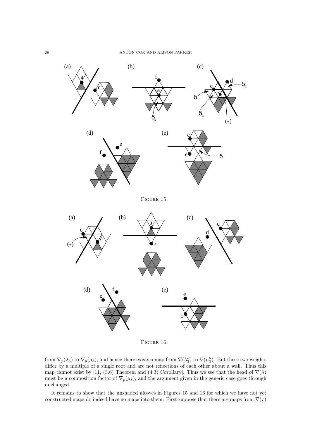

FIGURE 16.

from  $\nabla_p(\lambda_3)$  to  $\nabla_p(\mu_3)$ , and hence there exists a map from  $\nabla(\lambda_3'')$  to  $\nabla(\mu_3'')$ . But these two weights differ by a multiple of a single root and are not reflections of each other about a wall. Thus this map cannot exist by [11, (3.6) Theorem and (4.3) Corollary]. Thus we see that the head of  $\nabla(\lambda)$ must be a composition factor of  $\nabla_p(\mu_8)$ , and the argument given in the generic case goes through unchanged.

It remains to show that the unshaded alcoves in Figures 15 and 16 for which we have not yet constructed maps do indeed have no maps into them. First suppose that there are maps from  $\nabla(\tau)$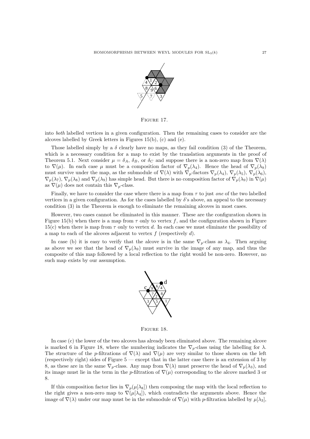

Figure 17.

into both labelled vertices in a given configuration. Then the remaining cases to consider are the alcoves labelled by Greek letters in Figures 15(b), (c) and (e).

Those labelled simply by a  $\delta$  clearly have no maps, as they fail condition (3) of the Theorem. which is a necessary condition for a map to exist by the translation arguments in the proof of Theorem 5.1. Next consider  $\mu = \delta_A$ ,  $\delta_B$ , or  $\delta_C$  and suppose there is a non-zero map from  $\nabla(\lambda)$ to  $\nabla(\mu)$ . In each case  $\mu$  must be a composition factor of  $\nabla_p(\lambda_4)$ . Hence the head of  $\nabla_p(\lambda_9)$ must survive under the map, as the submodule of  $\nabla(\lambda)$  with  $\nabla_p$ -factors  $\nabla_p(\lambda_4)$ ,  $\nabla_p(\lambda_5)$ ,  $\nabla_p(\lambda_6)$ ,  $\nabla_p(\lambda_7)$ ,  $\nabla_p(\lambda_8)$  and  $\nabla_p(\lambda_9)$  has simple head. But there is no composition factor of  $\nabla_p(\lambda_9)$  in  $\nabla(\mu)$ as  $\nabla(\mu)$  does not contain this  $\nabla_p$ -class.

Finally, we have to consider the case where there is a map from  $\tau$  to just one of the two labelled vertices in a given configuration. As for the cases labelled by  $\delta$ 's above, an appeal to the necessary condition (3) in the Theorem is enough to eliminate the remaining alcoves in most cases.

However, two cases cannot be eliminated in this manner. These are the configuration shown in Figure 15(b) when there is a map from  $\tau$  only to vertex f, and the configuration shown in Figure 15(c) when there is map from  $\tau$  only to vertex d. In each case we must eliminate the possibility of a map to each of the alcoves adjacent to vertex  $f$  (respectively  $d$ ).

In case (b) it is easy to verify that the alcove is in the same  $\nabla_p$ -class as  $\lambda_4$ . Then arguing as above we see that the head of  $\nabla_p(\lambda_9)$  must survive in the image of any map, and thus the composite of this map followed by a local reflection to the right would be non-zero. However, no such map exists by our assumption.



Figure 18.

In case (c) the lower of the two alcoves has already been eliminated above. The remaining alcove is marked 6 in Figure 18, where the numbering indicates the  $\nabla_p$ -class using the labelling for  $\lambda$ . The structure of the p-filtrations of  $\nabla(\lambda)$  and  $\nabla(\mu)$  are very similar to those shown on the left (respectively right) sides of Figure 5 — except that in the latter case there is an extension of 3 by 8, as these are in the same  $\nabla_p$ -class. Any map from  $\nabla(\lambda)$  must preserve the head of  $\nabla_p(\lambda_3)$ , and its image must lie in the term in the p-filtration of  $\nabla(\mu)$  corresponding to the alcove marked 3 or 8.

If this composition factor lies in  $\nabla_p(\mu[\lambda_8])$  then composing the map with the local reflection to the right gives a non-zero map to  $\nabla(\mu[\lambda_4])$ , which contradicts the arguments above. Hence the image of  $\nabla(\lambda)$  under our map must be in the submodule of  $\nabla(\mu)$  with p-filtration labelled by  $\mu[\lambda_3]$ ,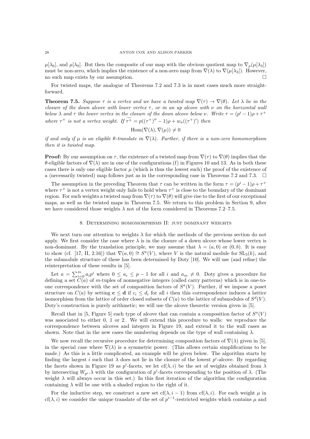$\mu[\lambda_6]$ , and  $\mu[\lambda_9]$ . But then the composite of our map with the obvious quotient map to  $\nabla_p(\mu[\lambda_3])$ must be non-zero, which implies the existence of a non-zero map from  $\nabla(\lambda)$  to  $\nabla(\mu[\lambda_3])$ . However, no such map exists by our assumption.

For twisted maps, the analogue of Theorems 7.2 and 7.3 is in most cases much more straightforward.

**Theorem 7.5.** Suppose  $\tau$  is a vertex and we have a twisted map  $\nabla(\tau) \to \nabla(\theta)$ . Let  $\lambda$  lie in the closure of the down alcove with lower vertex  $\tau$ , or in an up alcove with  $\nu$  on the horizontal wall below  $\lambda$  and  $\tau$  the lower vertex in the closure of the down alcove below  $\nu$ . Write  $\tau = (p^i - 1)\rho + \tau^+$ where  $\tau^+$  is not a vertex weight. If  $\tau^+ = p((\tau^+)^{\prime\prime} - 1)\rho + w_a((\tau^+)^{\prime})$  then

$$
\operatorname{Hom}(\nabla(\lambda), \nabla(\mu)) \neq 0
$$

if and only if  $\mu$  is an eligible  $\theta$ -translate in  $\nabla(\lambda)$ . Further, if there is a non-zero homomorphism then it is twisted map.

**Proof:** By our assumption on  $\tau$ , the existence of a twisted map from  $\nabla(\tau)$  to  $\nabla(\theta)$  implies that the θ-eligible factors of ∇(λ) are in one of the configurations (f) in Figures 10 and 13. As in both these cases there is only one eligible factor  $\mu$  (which is thus the lowest such) the proof of the existence of a (necessarily twisted) map follows just as in the corresponding case in Theorems 7.2 and 7.3.  $\Box$ 

The assumption in the preceding Theorem that  $\tau$  can be written in the form  $\tau = (p^i - 1)\rho + \tau^+$ where  $\tau^+$  is not a vertex weight only fails to hold when  $\tau^+$  is close to the boundary of the dominant region. For such weights a twisted map from  $\nabla(\tau)$  to  $\nabla(\theta)$  will give rise to the first of our exceptional maps, as well as the twisted maps in Theorem 7.5. We return to this problem in Section 9, after we have considered those weights  $\lambda$  not of the form considered in Theorems 7.2–7.5.

#### 8. Determining homomorphisms II: just dominant weights

We next turn our attention to weights  $\lambda$  for which the methods of the previous section do not apply. We first consider the case where  $\lambda$  is in the closure of a down alcove whose lower vertex is non-dominant. By the translation principle, we may assume that  $\lambda = (a, 0)$  or  $(0, b)$ . It is easy to show (cf. [17, II, 2.16]) that  $\nabla(a,0) \cong S^a(V)$ , where V is the natural module for  $SL_3(k)$ , and the submodule structure of these has been determined by Doty [10]. We will use (and refine) the reinterpretation of these results in [5].

Let  $a = \sum_{i=0}^{m} a_i p^i$  where  $0 \le a_i \le p-1$  for all i and  $a_m \ne 0$ . Doty gives a procedure for defining a set  $C(a)$  of m-tuples of nonnegative integers (called carry patterns) which is in one-toone correspondence with the set of composition factors of  $S^a(V)$ . Further, if we impose a poset structure on  $C(a)$  by setting  $c \le d$  if  $c_i \le d_i$  for all i then this correspondence induces a lattice isomorphism from the lattice of order closed subsets of  $C(a)$  to the lattice of submodules of  $S^d(V)$ . Doty's construction is purely arithmetic; we will use the alcove theoretic version given in [5].

Recall that in [5, Figure 5] each type of alcove that can contain a composition factor of  $S^a(V)$ was associated to either 0, 1 or 2. We will extend this procedure to walls: we reproduce the correspondence between alcoves and integers in Figure 19, and extend it to the wall cases as shown. Note that in the new cases the numbering depends on the type of wall containing  $\lambda$ .

We now recall the recursive procedure for determining composition factors of  $\nabla(\lambda)$  given in [5], in the special case where  $\nabla(\lambda)$  is a symmetric power. (This allows certain simplifications to be made.) As this is a little complicated, an example will be given below. The algorithm starts by finding the largest i such that  $\lambda$  does not lie in the closure of the lowest  $p^i$ -alcove. By regarding the facets shown in Figure 19 as  $p^i$ -facets, we let  $cf(\lambda, i)$  be the set of weights obtained from  $\lambda$ by intersecting  $W_{p^i}$ .  $\lambda$  with the configuration of  $p^i$ -facets corresponding to the position of  $\lambda$ . (The weight  $\lambda$  will always occur in this set.) In this first iteration of the algorithm the configuration containing  $\lambda$  will be one with a shaded region to the right of it.

For the inductive step, we construct a new set cf( $\lambda$ , i – 1) from cf( $\lambda$ , i). For each weight  $\mu$  in cf( $\lambda$ , i) we consider the unique translate of the set of  $p^{i-1}$ -restricted weights which contains  $\mu$  and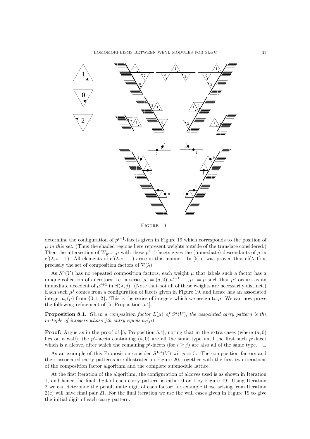

Figure 19.

determine the configuration of  $p^{i-1}$ -facets given in Figure 19 which corresponds to the position of  $\mu$  in this set. (Thus the shaded regions here represent weights outside of the translate considered.) Then the intersection of  $W_{p^{i-1}}$ .  $\mu$  with these  $p^{i-1}$ -facets gives the (immediate) descendants of  $\mu$  in cf( $\lambda, i - 1$ ). All elements of cf( $\lambda, i - 1$ ) arise in this manner. In [5] it was proved that cf( $\lambda$ , 1) is precisely the set of composition factors of  $\nabla(\lambda)$ .

As  $S^a(V)$  has no repeated composition factors, each weight  $\mu$  that labels such a factor has a unique collection of ancestors; i.e. a series  $\mu^{i} = (a, 0), \mu^{i-1} \dots, \mu^{1} = \mu$  such that  $\mu^{j}$  occurs as an immediate decedent of  $\mu^{j+1}$  in cf( $\lambda$ , j). (Note that not all of these weights are necessarily distinct.) Each such  $\mu^{j}$  comes from a configuration of facets given in Figure 19, and hence has an associated integer  $a_i(\mu)$  from  $\{0, 1, 2\}$ . This is the series of integers which we assign to  $\mu$ . We can now prove the following refinement of [5, Proposition 5.4].

**Proposition 8.1.** Given a composition factor  $L(\mu)$  of  $S^a(V)$ , the associated carry pattern is the m-tuple of integers whose jth entry equals  $a_i(\mu)$ 

**Proof:** Argue as in the proof of [5, Proposition 5.4], noting that in the extra cases (where  $(a, 0)$ ) lies on a wall), the  $p^i$ -facets containing  $(a, 0)$  are all the same type until the first such  $p^j$ -facet which is a alcove, after which the remaining  $p^i$ -facets (for  $i \geq j$ ) are also all of the same type.  $\Box$ 

As an example of this Proposition consider  $S^{184}(V)$  wit  $p=5$ . The composition factors and their associated carry patterns are illustrated in Figure 20, together with the first two iterations of the composition factor algorithm and the complete submodule lattice.

At the first iteration of the algorithm, the configuration of alcoves used is as shown in Iteration 1, and hence the final digit of each carry pattern is either 0 or 1 by Figure 19. Using Iteration 2 we can determine the penultimate digit of each factor; for example those arising from Iteration 2(c) will have final pair 21. For the final iteration we use the wall cases given in Figure 19 to give the initial digit of each carry pattern.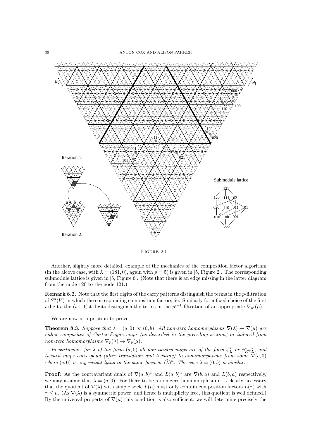

Figure 20.

Another, slightly more detailed, example of the mechanics of the composition factor algorithm (in the alcove case, with  $\lambda = (181, 0)$ , again with  $p = 5$ ) is given in [5, Figure 2]. The corresponding submodule lattice is given in [5, Figure 6]. (Note that there is an edge missing in the latter diagram from the node 120 to the node 121.)

**Remark 8.2.** Note that the first digits of the carry patterns distinguish the terms in the  $p$ -filtration of  $S^a(V)$  in which the corresponding composition factors lie. Similarly for a fixed choice of the first *i* digits, the  $(i + 1)$ st digits distinguish the terms in the  $p^{i+1}$ -filtration of an appropriate  $\nabla_{p^{i}}(\mu)$ .

We are now in a position to prove

**Theorem 8.3.** Suppose that  $\lambda = (a, 0)$  or  $(0, b)$ . All non-zero homomorphisms  $\nabla(\lambda) \rightarrow \nabla(\mu)$  are either composites of Carter-Payne maps (as described in the preceding section) or induced from non-zero homomorphisms  $\nabla_p(\tilde{\lambda}) \to \nabla_p(\mu)$ .

In particular, for  $\lambda$  of the form  $(a, 0)$  all non-twisted maps are of the form  $\phi_L^*$  or  $\phi_R^* \phi_L^*$ , and twisted maps correspond (after translation and twisting) to homomorphisms from some  $\nabla(c, 0)$ where  $(c, 0)$  is any weight lying in the same facet as  $(\tilde{\lambda})^{\prime\prime}$ . The case  $\lambda = (0, b)$  is similar.

**Proof:** As the contravariant duals of  $\nabla(a, b)^*$  and  $L(a, b)^*$  are  $\nabla(b, a)$  and  $L(b, a)$  respectively, we may assume that  $\lambda = (a, 0)$ . For there to be a non-zero homomorphism it is clearly necessary that the quotient of  $\nabla(\lambda)$  with simple socle  $L(\mu)$  must only contain composition factors  $L(\tau)$  with  $\tau \leq \mu$ . (As  $\nabla(\lambda)$  is a symmetric power, and hence is multiplicity free, this quotient is well defined.) By the universal property of  $\nabla(\mu)$  this condition is also sufficient; we will determine precisely the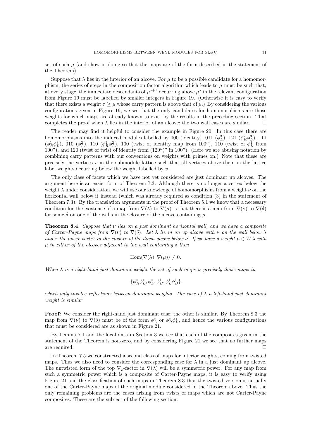set of such  $\mu$  (and show in doing so that the maps are of the form described in the statement of the Theorem).

Suppose that  $\lambda$  lies in the interior of an alcove. For  $\mu$  to be a possible candidate for a homomorphism, the series of steps in the composition factor algorithm which leads to  $\mu$  must be such that, at every stage, the immediate descendants of  $\mu^{j+1}$  occurring above  $\mu^j$  in the relevant configuration from Figure 19 must be labelled by smaller integers in Figure 19. (Otherwise it is easy to verify that there exists a weight  $\tau \geq \mu$  whose carry pattern is above that of  $\mu$ .) By considering the various configurations given in Figure 19, we see that the only candidates for homomorphisms are those weights for which maps are already known to exist by the results in the preceding section. That completes the proof when  $\lambda$  lies in the interior of an alcove; the two wall cases are similar.  $\square$ 

The reader may find it helpful to consider the example in Figure 20. In this case there are homomorphisms into the induced modules labelled by 000 (identity), 011  $(\phi_L^3)$ , 121  $(\phi_R^2 \phi_L^3)$ , 111  $(\phi_R^1 \phi_L^3)$ , 010  $(\phi_L^2)$ , 110  $(\phi_R^1 \phi_L^2)$ , 100 (twist of identity map from 100''), 110 (twist of  $\phi_L^1$  from 100′′), and 120 (twist of twist of identity from (120′′) ′′ in 100′′). (Here we are abusing notation by combining carry patterns with our conventions on weights with primes on.) Note that these are precisely the vertices  $v$  in the submodule lattice such that all vertices above them in the lattice label weights occurring below the weight labelled by  $v$ .

The only class of facets which we have not yet considered are just dominant up alcoves. The argument here is an easier form of Theorem 7.3. Although there is no longer a vertex below the weight  $\lambda$  under consideration, we will use our knowledge of homomorphisms from a weight  $\nu$  on the horizontal wall below it instead (which was already required as condition (3) in the statement of Theorem 7.3). By the translation arguments in the proof of Theorem 5.1 we know that a necessary condition for the existence of a map from  $\nabla(\lambda)$  to  $\nabla(\mu)$  is that there is a map from  $\nabla(\nu)$  to  $\nabla(\delta)$ for some  $\delta$  on one of the walls in the closure of the alcove containing  $\mu$ .

**Theorem 8.4.** Suppose that  $\nu$  lies on a just dominant horizontal wall, and we have a composite of Carter-Payne maps from  $\nabla(\nu)$  to  $\nabla(\delta)$ . Let  $\lambda$  lie in an up alcove with  $\nu$  on the wall below  $\lambda$ and  $\tau$  the lower vertex in the closure of the down alcove below  $\nu$ . If we have a weight  $\mu \in W$ . A with  $\mu$  in either of the alcoves adjacent to the wall containing  $\delta$  then

$$
Hom(\nabla(\lambda), \nabla(\mu)) \neq 0.
$$

When  $\lambda$  is a right-hand just dominant weight the set of such maps is precisely those maps in

$$
\{\phi^*_R \phi^*_L, \phi^*_L, \phi^1_B, \phi^1_L \phi^1_B\}
$$

which only involve reflections between dominant weights. The case of  $\lambda$  a left-hand just dominant weight is similar.

Proof: We consider the right-hand just dominant case; the other is similar. By Theorem 8.3 the map from  $\nabla(\nu)$  to  $\nabla(\delta)$  must be of the form  $\phi_L^*$  or  $\phi_R^*\phi_L^*$ , and hence the various configurations that must be considered are as shown in Figure 21.

By Lemma 7.1 and the local data in Section 3 we see that each of the composites given in the statement of the Theorem is non-zero, and by considering Figure 21 we see that no further maps are required.  $\Box$ 

In Theorem 7.5 we constructed a second class of maps for interior weights, coming from twisted maps. Thus we also need to consider the corresponding case for  $\lambda$  in a just dominant up alcove. The untwisted form of the top  $\nabla_p$ -factor in  $\nabla(\lambda)$  will be a symmetric power. For any map from such a symmetric power which is a composite of Carter-Payne maps, it is easy to verify using Figure 21 and the classification of such maps in Theorem 8.3 that the twisted version is actually one of the Carter-Payne maps of the original module considered in the Theorem above. Thus the only remaining problems are the cases arising from twists of maps which are not Carter-Payne composites. These are the subject of the following section.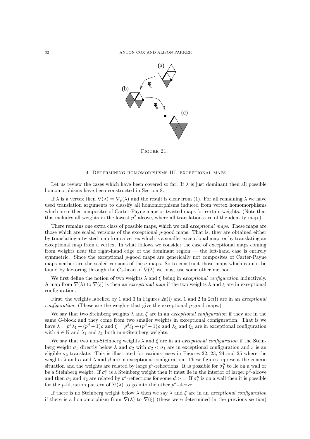

FIGURE 21.

#### 9. Determining homomorphisms III: exceptional maps

Let us review the cases which have been covered so far. If  $\lambda$  is just dominant then all possible homomorphisms have been constructed in Section 8.

If  $\lambda$  is a vertex then  $\nabla(\lambda) = \nabla_p(\lambda)$  and the result is clear from (1). For all remaining  $\lambda$  we have used translation arguments to classify all homomorphisms induced from vertex homomorphisms which are either composites of Carter-Payne maps or twisted maps for certain weights. (Note that this includes all weights in the lowest  $p^2$ -alcove, where all translations are of the identity map.)

There remains one extra class of possible maps, which we call exceptional maps. These maps are those which are scaled versions of the exceptional p-good maps. That is, they are obtained either by translating a twisted map from a vertex which is a smaller exceptional map, or by translating an exceptional map from a vertex. In what follows we consider the case of exceptional maps coming from weights near the right-hand edge of the dominant region — the left-hand case is entirely symmetric. Since the exceptional  $p$ -good maps are generically not composites of Carter-Payne maps neither are the scaled versions of these maps. So to construct those maps which cannot be found by factoring through the  $G_1$ -head of  $\nabla(\lambda)$  we must use some other method.

We first define the notion of two weights  $\lambda$  and  $\xi$  being in exceptional configuration inductively. A map from  $\nabla(\lambda)$  to  $\nabla(\xi)$  is then an *exceptional map* if the two weights  $\lambda$  and  $\xi$  are in exceptional configuration.

First, the weights labelled by 1 and 3 in Figures 2a(i) and 1 and 2 in 2c(i) are in an exceptional  $\alpha$ configuration. (These are the weights that give the exceptional p-good maps.)

We say that two Steinberg weights  $\lambda$  and  $\xi$  are in an exceptional configuration if they are in the same G-block and they come from two smaller weights in exceptional configuration. That is we have  $\lambda = p^d \lambda_1 + (p^d - 1)\rho$  and  $\xi = p^d \xi_1 + (p^d - 1)\rho$  and  $\lambda_1$  and  $\xi_1$  are in exceptional configuration with  $d \in \mathbb{N}$  and  $\lambda_1$  and  $\xi_1$  both non-Steinberg weights.

We say that two non-Steinberg weights  $\lambda$  and  $\xi$  are in an exceptional configuration if the Steinberg weight  $\sigma_1$  directly below  $\lambda$  and  $\sigma_2$  with  $\sigma_2 < \sigma_1$  are in exceptional configuration and  $\xi$  is an eligible  $\sigma_2$  translate. This is illustrated for various cases in Figures 22, 23, 24 and 25 where the weights  $\lambda$  and  $\alpha$  and  $\lambda$  and  $\beta$  are in exceptional configuration. These figures represent the generic situation and the weights are related by large  $p^d$ -reflections. It is possible for  $\sigma''_1$  to lie on a wall or be a Steinberg weight. If  $\sigma''_1$  is a Steinberg weight then it must lie in the interior of larger  $p^d$ -alcove and then  $\sigma_1$  and  $\sigma_2$  are related by  $p^d$ -reflections for some  $d > 1$ . If  $\sigma''_1$  is on a wall then it is possible for the *p*-filtration pattern of  $\nabla(\lambda)$  to go into the other  $p^d$ -alcove.

If there is no Steinberg weight below  $\lambda$  then we say  $\lambda$  and  $\xi$  are in an exceptional configuration if there is a homomorphism from  $\nabla(\lambda)$  to  $\nabla(\xi)$  (these were determined in the previous section)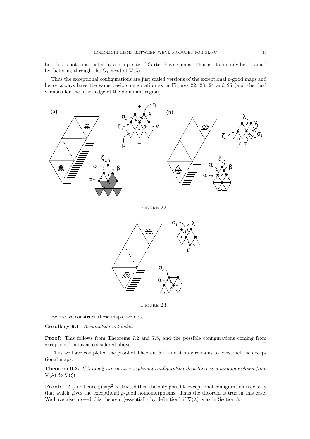but this is not constructed by a composite of Carter-Payne maps. That is, it can only be obtained by factoring through the  $G_1$ -head of  $\nabla(\lambda)$ .

Thus the exceptional configurations are just scaled versions of the exceptional p-good maps and hence always have the same basic configuration as in Figures 22, 23, 24 and 25 (and the dual versions for the other edge of the dominant region).



Figure 22.



FIGURE 23.

Before we construct these maps, we note

Corollary 9.1. Assumption 5.2 holds.

Proof: This follows from Theorems 7.2 and 7.5, and the possible configurations coming from exceptional maps as considered above.

Thus we have completed the proof of Theorem 5.1, and it only remains to construct the exceptional maps.

**Theorem 9.2.** If  $\lambda$  and  $\xi$  are in an exceptional configuration then there is a homomorphism from  $\nabla(\lambda)$  to  $\nabla(\xi)$ .

**Proof:** If  $\lambda$  (and hence  $\xi$ ) is  $p^2$ -restricted then the only possible exceptional configuration is exactly that which gives the exceptional  $p$ -good homomorphisms. Thus the theorem is true in this case. We have also proved this theorem (essentially by definition) if  $\nabla(\lambda)$  is as in Section 8.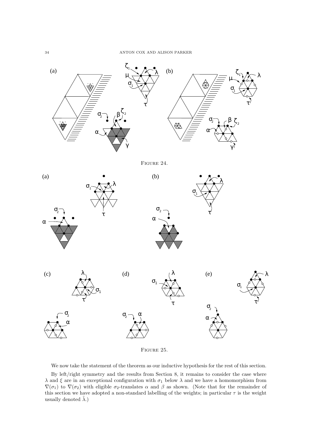

FIGURE 25.

We now take the statement of the theorem as our inductive hypothesis for the rest of this section.

By left/right symmetry and the results from Section 8, it remains to consider the case where  $\lambda$  and  $\xi$  are in an exceptional configuration with  $\sigma_1$  below  $\lambda$  and we have a homomorphism from  $\nabla(\sigma_1)$  to  $\nabla(\sigma_2)$  with eligible  $\sigma_2$ -translates  $\alpha$  and  $\beta$  as shown. (Note that for the remainder of this section we have adopted a non-standard labelling of the weights; in particular  $\tau$  is the weight usually denoted  $\lambda$ .)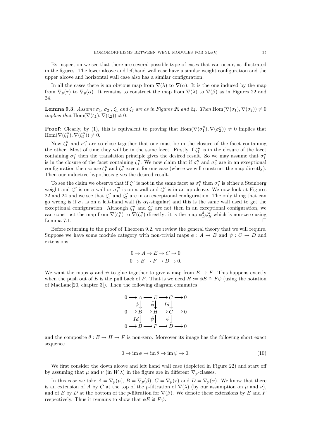By inspection we see that there are several possible type of cases that can occur, as illustrated in the figures. The lower alcove and lefthand wall case have a similar weight configuration and the upper alcove and horizontal wall case also has a similar configuration.

In all the cases there is an obvious map from  $\nabla(\lambda)$  to  $\nabla(\alpha)$ . It is the one induced by the map from  $\nabla_p(\tau)$  to  $\nabla_p(\alpha)$ . It remains to construct the map from  $\nabla(\lambda)$  to  $\nabla(\beta)$  as in Figures 22 and 24.

**Lemma 9.3.** Assume  $\sigma_1, \sigma_2, \zeta_1$  and  $\zeta_2$  are as in Figures 22 and 24. Then Hom $(\nabla(\sigma_1), \nabla(\sigma_2)) \neq 0$ *implies that* Hom $(\nabla(\zeta_1), \nabla(\zeta_2)) \neq 0$ .

**Proof:** Clearly, by (1), this is equivalent to proving that  $Hom(\nabla(\sigma''_1), \nabla(\sigma''_2)) \neq 0$  implies that  $\text{Hom}(\nabla(\zeta_1''), \nabla(\zeta_2'')) \neq 0.$ 

Now  $\zeta_1''$  and  $\sigma_1''$  are so close together that one must be in the closure of the facet containing the other. Most of time they will be in the same facet. Firstly if  $\zeta_1''$  is in the closure of the facet containing  $\sigma''_1$  then the translation principle gives the desired result. So we may assume that  $\sigma''_1$ is in the closure of the facet containing  $\zeta''_1$ . We now claim that if  $\sigma''_1$  and  $\sigma''_2$  are in an exceptional configuration then so are  $\zeta_1''$  and  $\zeta_2''$  except for one case (where we will construct the map directly). Then our inductive hypothesis gives the desired result.

To see the claim we observe that if  $\zeta_1''$  is not in the same facet as  $\sigma_1''$  then  $\sigma_1''$  is either a Steinberg weight and  $\zeta_1''$  is on a wall or  $\sigma_1'''$  is on a wall and  $\zeta_1''$  is in an up alcove. We now look at Figures 22 and 24 and we see that  $\zeta''_1$  and  $\zeta''_2$  are in an exceptional configuration. The only thing that can go wrong is if  $\sigma_1$  is on a left-hand wall (is  $\alpha_1$ -singular) and this is the same wall used to get the exceptional configuration. Although  $\zeta_1''$  and  $\zeta_2''$  are not then in an exceptional configuration, we can construct the map from  $\nabla(\zeta_1'')$  to  $\nabla(\zeta_2'')$  directly: it is the map  $\phi_L^d \phi_R^d$  which is non-zero using Lemma 7.1.  $\square$ 

Before returning to the proof of Theorem 9.2, we review the general theory that we will require. Suppose we have some module category with non-trivial maps  $\phi : A \to B$  and  $\psi : C \to D$  and extensions

$$
0 \to A \to E \to C \to 0
$$

$$
0 \to B \to F \to D \to 0.
$$

We want the maps  $\phi$  and  $\psi$  to glue together to give a map from  $E \to F$ . This happens exactly when the push out of E is the pull back of F. That is we need  $H := \phi E \cong F \psi$  (using the notation of MacLane[20, chapter 3]). Then the following diagram commutes

$$
0 \longrightarrow A \longrightarrow E \longrightarrow C \longrightarrow 0
$$
  
\n
$$
\phi \downarrow \qquad \bar{\phi} \downarrow \qquad Id \downarrow
$$
  
\n
$$
0 \longrightarrow B \longrightarrow H \longrightarrow C \longrightarrow 0
$$
  
\n
$$
Id \downarrow \qquad \bar{\psi} \downarrow \qquad \psi \downarrow
$$
  
\n
$$
0 \longrightarrow B \longrightarrow F \longrightarrow D \longrightarrow 0
$$

and the composite  $\theta : E \to H \to F$  is non-zero. Moreover its image has the following short exact sequence

$$
0 \to \operatorname{im} \phi \to \operatorname{im} \theta \to \operatorname{im} \psi \to 0. \tag{10}
$$

We first consider the down alcove and left hand wall case (depicted in Figure 22) and start off by assuming that  $\mu$  and  $\nu$  (in  $W.\lambda$ ) in the figure are in different  $\nabla_p$ -classes.

In this case we take  $A = \nabla_p(\mu)$ ,  $B = \nabla_p(\beta)$ ,  $C = \nabla_p(\tau)$  and  $D = \nabla_p(\alpha)$ . We know that there is an extension of A by C at the top of the p-filtration of  $\nabla(\lambda)$  (by our assumption on  $\mu$  and  $\nu$ ), and of B by D at the bottom of the p-filtration for  $\nabla(\beta)$ . We denote these extensions by E and F respectively. Thus it remains to show that  $\phi E \cong F \psi$ .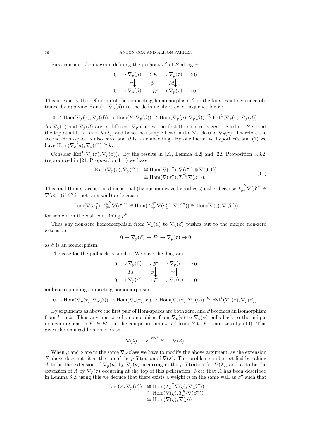First consider the diagram defining the pushout  $E'$  of E along  $\phi$ :

$$
\begin{array}{ccc}\n0 & \longrightarrow \nabla_p(\mu) \longrightarrow E \longrightarrow \nabla_p(\tau) \longrightarrow 0 \\
\phi \downarrow & & \bar{\phi} \downarrow & & Id \downarrow \\
0 & \longrightarrow \nabla_p(\beta) \longrightarrow E' \longrightarrow \nabla_p(\tau) \longrightarrow 0.\n\end{array}
$$

This is exactly the definition of the connecting homomorphism  $\partial$  in the long exact sequence obtained by applying Hom( $\overline{\phantom{a}}$ ,  $\nabla_p(\beta)$ ) to the defining short exact sequence for E:

$$
0 \to \mathrm{Hom}(\nabla_p(\tau), \nabla_p(\beta)) \to \mathrm{Hom}(E, \nabla_p(\beta)) \to \mathrm{Hom}(\nabla_p(\mu), \nabla_p(\beta)) \stackrel{\partial}{\to} \mathrm{Ext}^1(\nabla_p(\tau), \nabla_p(\beta)).
$$

As  $\nabla_p(\tau)$  and  $\nabla_p(\beta)$  are in different  $\nabla_p$ -classes, the first Hom-space is zero. Further, E sits at the top of a filtration of  $\nabla(\lambda)$ , and hence has simple head in the  $\nabla_p$ -class of  $\nabla_p(\tau)$ . Therefore the second Hom-space is also zero, and  $\partial$  is an embedding. By our inductive hypothesis and (1) we have  $\text{Hom}(\nabla_p(\mu), \nabla_p(\beta)) \cong k$ .

Consider Ext<sup>1</sup>( $\nabla_p(\tau)$ ,  $\nabla_p(\beta)$ ). By the results in [21, Lemma 4.2] and [22, Proposition 3.3.2] (reproduced in [21, Proposition 4.1]) we have

$$
\operatorname{Ext}^1(\nabla_p(\tau), \nabla_p(\beta)) \cong \operatorname{Hom}(\nabla(\tau''), \nabla(\beta'') \otimes \nabla(0, 1))
$$
  
\n
$$
\cong \operatorname{Hom}(\nabla(\sigma''_1), T^{\sigma''}_\beta \nabla(\beta'')).
$$
\n(11)

This final Hom-space is one-dimensional (by our inductive hypothesis) either because  $T_{\beta''}^{\sigma''_2} \nabla(\beta'') \approx$  $\nabla(\sigma''_2)$  (if  $\beta''$  is not on a wall) or because

$$
\mathrm{Hom}(\nabla(\sigma''_1),T^{\sigma''_2}_{\beta''}\nabla(\beta''))\cong \mathrm{Hom}(T^{\beta''}_{\sigma''_2}\nabla(\sigma''_1),\nabla(\beta''))\cong \mathrm{Hom}(\nabla(\epsilon),\nabla(\beta''))
$$

for some  $\epsilon$  on the wall containing  $\mu''$ .

Thus any non-zero homomorphism from  $\nabla_p(\mu)$  to  $\nabla_p(\beta)$  pushes out to the unique non-zero extension

$$
0 \to \nabla_p(\beta) \to E' \to \nabla_p(\tau) \to 0
$$

as  $\partial$  is an isomorphism.

The case for the pullback is similar. We have the diagram

$$
\begin{array}{ccc}\n0 & \longrightarrow \nabla_p(\beta) \longrightarrow F' \longrightarrow \nabla_p(\tau) \longrightarrow 0 \\
Id \downarrow & \bar{\psi} \downarrow & \psi \downarrow \\
0 & \longrightarrow \nabla_p(\beta) \longrightarrow F \longrightarrow \nabla_p(\alpha) \longrightarrow 0\n\end{array}
$$

and corresponding connecting homomorphism

$$
0 \to \text{Hom}(\nabla_p(\tau), \nabla_p(\beta)) \to \text{Hom}(\nabla_p(\tau), F) \to \text{Hom}(\nabla_p(\tau), \nabla_p(\alpha)) \stackrel{\partial}{\to} \text{Ext}^1(\nabla_p(\tau), \nabla_p(\beta)).
$$

By arguments as above the first pair of Hom-spaces are both zero, and  $\partial$  becomes an isomorphism from k to k. Thus any non-zero homomorphism from  $\nabla_p(\tau)$  to  $\nabla_p(\alpha)$  pulls back to the unique non-zero extension  $F' \cong E'$  and the composite map  $\bar{\psi} \circ \bar{\phi}$  from E to F is non-zero by (10). This gives the required homomorphism

$$
\nabla(\lambda) \twoheadrightarrow E \stackrel{\bar{\psi} \circ \bar{\phi}}{\rightarrow} F \hookrightarrow \nabla(\beta).
$$

When  $\mu$  and  $\nu$  are in the same  $\nabla_p$ -class we have to modify the above argument, as the extension E above does not sit at the top of the p-filtration of  $\nabla(\lambda)$ . This problem can be rectified by taking A to be the extension of  $\nabla_p(\mu)$  by  $\nabla_p(\nu)$  occurring in the p-filtration for  $\nabla(\lambda)$ , and E to be the extension of A by  $\nabla_p(\tau)$  occurring at the top of this p-filtration. Note that A has been described in Lemma 6.2; using this we deduce that there exists a weight  $\eta$  on the same wall as  $\sigma''_1$  such that

$$
\begin{array}{ll}\n\operatorname{Hom}(A, \nabla_p(\beta)) & \cong \operatorname{Hom}(T^{\mu''}_\eta \nabla(\eta), \nabla(\beta'')) \\
& \cong \operatorname{Hom}(\nabla(\eta), T^{\eta}_{\mu''} \nabla(\beta'')) \\
& \cong \operatorname{Hom}(\nabla(\eta), \nabla(\rho))\n\end{array}
$$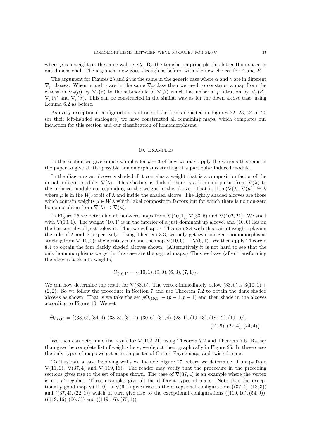where  $\rho$  is a weight on the same wall as  $\sigma''_2$ . By the translation principle this latter Hom-space in one-dimensional. The argument now goes through as before, with the new choices for  $A$  and  $E$ .

The argument for Figures 23 and 24 is the same in the generic case where  $\alpha$  and  $\gamma$  are in different  $\nabla_p$  classes. When  $\alpha$  and  $\gamma$  are in the same  $\nabla_p$ -class then we need to construct a map from the extension  $\nabla_p(\mu)$  by  $\nabla_p(\tau)$  to the submodule of  $\nabla(\beta)$  which has uniserial p-filtration by  $\nabla_p(\beta)$ ,  $\nabla_p(\gamma)$  and  $\nabla_p(\alpha)$ . This can be constructed in the similar way as for the down alcove case, using Lemma 6.2 as before.

As every exceptional configuration is of one of the forms depicted in Figures 22, 23, 24 or 25 (or their left-handed analogues) we have constructed all remaining maps, which completes our induction for this section and our classification of homomorphisms.

#### 10. Examples

In this section we give some examples for  $p = 3$  of how we may apply the various theorems in the paper to give all the possible homomorphisms starting at a particular induced module.

In the diagrams an alcove is shaded if it contains a weight that is a composition factor of the initial induced module,  $\nabla(\lambda)$ . This shading is dark if there is a homomorphism from  $\nabla(\lambda)$  to the induced module corresponding to the weight in the alcove. That is Hom( $\nabla(\lambda)$ ,  $\nabla(\mu)$ ) ≅ k where  $\mu$  is in the  $W_p$ -orbit of  $\lambda$  and inside the shaded alcove. The lightly shaded alcoves are those which contain weights  $\mu \in W.\lambda$  which label composition factors but for which there is no non-zero homomorphism from  $\nabla(\lambda) \rightarrow \nabla(\mu)$ .

In Figure 26 we determine all non-zero maps from  $\nabla(10, 1)$ ,  $\nabla(33, 6)$  and  $\nabla(102, 21)$ . We start with  $\nabla(10, 1)$ . The weight  $(10, 1)$  is in the interior of a just dominant up alcove, and  $(10, 0)$  lies on the horizontal wall just below it. Thus we will apply Theorem 8.4 with this pair of weights playing the role of  $\lambda$  and  $\nu$  respectively. Using Theorem 8.3, we only get two non-zero homomorphisms starting from  $\nabla(10,0)$ : the identity map and the map  $\nabla(10,0) \rightarrow \nabla(6,1)$ . We then apply Theorem 8.4 to obtain the four darkly shaded alcoves shown. (Alternatively it is not hard to see that the only homomorphisms we get in this case are the  $p$ -good maps.) Thus we have (after transforming the alcoves back into weights)

$$
\Theta_{(10,1)} = \{(10,1), (9,0), (6,3), (7,1)\}.
$$

We can now determine the result for  $\nabla(33,6)$ . The vertex immediately below  $(33,6)$  is  $3(10,1)$  + (2, 2). So we follow the procedure in Section 7 and use Theorem 7.2 to obtain the dark shaded alcoves as shown. That is we take the set  $p\Theta_{(10,1)} + (p-1, p-1)$  and then shade in the alcoves according to Figure 10. We get

$$
\Theta_{(33,6)} = \{(33,6), (34,4), (33,3), (31,7), (30,6), (31,4), (28,1), (19,13), (18,12), (19,10), (21,9), (22,4), (24,4)\}.
$$

We then can determine the result for  $\nabla(102, 21)$  using Theorem 7.2 and Theorem 7.5. Rather than give the complete list of weights here, we depict them graphically in Figure 26. In these cases the only types of maps we get are composites of Carter–Payne maps and twisted maps.

To illustrate a case involving walls we include Figure 27, where we determine all maps from  $\nabla(11,0), \nabla(37,4)$  and  $\nabla(119,16)$ . The reader may verify that the procedure in the preceding sections gives rise to the set of maps shown. The case of  $\nabla(37, 4)$  is an example where the vertex is not  $p^2$ -regular. These examples give all the different types of maps. Note that the exceptional p-good map  $\nabla(11,0) \rightarrow \nabla(6,1)$  gives rise to the exceptional configurations  $((37,4),(18,3))$ and  $((37, 4), (22, 1))$  which in turn give rise to the exceptional configurations  $((119, 16), (54, 9))$ ,  $((119, 16), (66, 3))$  and  $((119, 16), (70, 1)).$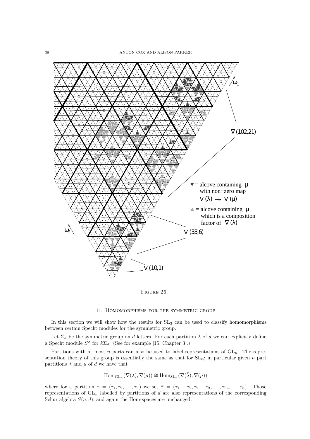

Figure 26.

#### 11. Homomorphisms for the symmetric group

In this section we will show how the results for  $SL_3$  can be used to classify homomorphisms between certain Specht modules for the symmetric group.

Let  $\Sigma_d$  be the symmetric group on d letters. For each partition  $\lambda$  of d we can explicitly define a Specht module  $S^{\lambda}$  for  $k\Sigma_d$ . (See for example [15, Chapter 3].)

Partitions with at most n parts can also be used to label representations of  $GL_n$ . The representation theory of this group is essentially the same as that for  $SL_n$ ; in particular given n part partitions  $\lambda$  and  $\mu$  of d we have that

$$
\mathrm{Hom}_{\mathrm{GL}_n}(\nabla(\lambda), \nabla(\mu)) \cong \mathrm{Hom}_{\mathrm{SL}_n}(\nabla(\bar{\lambda}), \nabla(\bar{\mu}))
$$

where for a partition  $\tau = (\tau_1, \tau_2, \ldots, \tau_n)$  we set  $\overline{\tau} = (\tau_1 - \tau_2, \tau_2 - \tau_3, \ldots, \tau_{n-1} - \tau_n)$ . Those representations of  $GL_n$  labelled by partitions of d are also representations of the corresponding Schur algebra  $S(n, d)$ , and again the Hom-spaces are unchanged.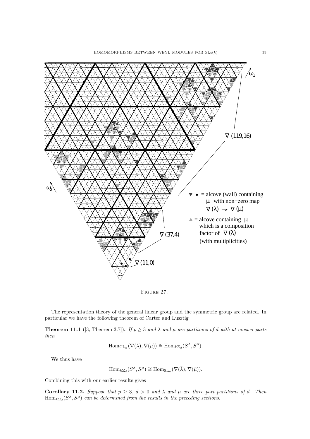

FIGURE 27.

The representation theory of the general linear group and the symmetric group are related. In particular we have the following theorem of Carter and Lusztig

**Theorem 11.1** ([3, Theorem 3.7]). If  $p \ge 3$  and  $\lambda$  and  $\mu$  are partitions of d with at most n parts then

$$
\mathrm{Hom}_{\mathrm{GL}_n}(\nabla(\lambda),\nabla(\mu))\cong \mathrm{Hom}_{k\Sigma_d}(S^\lambda,S^\mu).
$$

We thus have

$$
\mathrm{Hom}_{k\Sigma_d}(S^\lambda, S^\mu) \cong \mathrm{Hom}_{\mathrm{SL}_n}(\nabla(\bar{\lambda}), \nabla(\bar{\mu})).
$$

Combining this with our earlier results gives

**Corollary 11.2.** Suppose that  $p \geq 3$ ,  $d > 0$  and  $\lambda$  and  $\mu$  are three part partitions of d. Then  $\text{Hom}_{k\Sigma_d}(S^\lambda, S^\mu)$  can be determined from the results in the preceding sections.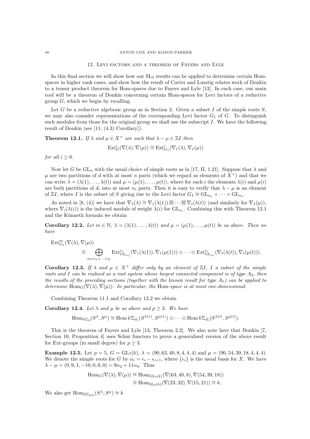12. Levi factors and a theorem of Fayers and Lyle

In this final section we will show how our  $SL_3$  results can be applied to determine certain Homspaces in higher rank cases, and show how the result of Carter and Lusztig relates work of Donkin to a tensor product theorem for Hom-spaces due to Fayers and Lyle [13]. In each case, our main tool will be a theorem of Donkin concerning certain Hom-spaces for Levi factors of a reductive group  $G$ , which we begin by recalling.

Let G be a reductive algebraic group as in Section 2. Given a subset I of the simple roots  $S$ , we may also consider representations of the corresponding Levi factor  $G_I$  of  $G$ . To distinguish such modules from those for the original group we shall use the subscript  $I$ . We have the following result of Donkin (see [11, (4.3) Corollary]).

**Theorem 12.1.** If  $\lambda$  and  $\mu \in X^+$  are such that  $\lambda - \mu \in \mathbb{Z}$  then

$$
\mathrm{Ext}^i_G(\nabla(\lambda), \nabla(\mu)) \cong \mathrm{Ext}^i_{G_I}(\nabla_I(\lambda), \nabla_I(\mu))
$$

for all  $i > 0$ .

Now let G be  $GL_n$  with the usual choice of simple roots as in [17, II, 1.21]. Suppose that  $\lambda$  and  $\mu$  are two partitions of d with at most n parts (which we regard as elements of  $X^+$ ) and that we can write  $\lambda = (\lambda(1), \ldots, \lambda(t))$  and  $\mu = (\mu(1), \ldots, \mu(t))$ , where for each i the elements  $\lambda(i)$  and  $\mu(i)$ are both partitions of  $d_i$  into at most  $n_i$  parts. Then it is easy to verify that  $\lambda - \mu$  is an element of ZI, where I is the subset of S giving rise to the Levi factor  $G_I \cong GL_{n_1} \times \cdots \times GL_{n_t}$ .

As noted in [8, (4)] we have that  $\nabla_I(\lambda) \cong \nabla_1(\lambda(1)) \boxtimes \cdots \boxtimes \nabla_t(\lambda(t))$  (and similarly for  $\nabla_I(\mu)$ ), where  $\nabla_i(\lambda(i))$  is the induced module of weight  $\lambda(i)$  for  $GL_{n_i}$ . Combining this with Theorem 12.1 and the Künneth formula we obtain

Corollary 12.2. Let  $m \in \mathbb{N}$ ,  $\lambda = (\lambda(1), \ldots, \lambda(t))$  and  $\mu = (\mu(1), \ldots, \mu(t))$  be as above. Then we have

$$
\operatorname{Ext}_{G_I}^m(\nabla(\lambda), \nabla(\mu)) \cong \bigoplus_{m=i_1+\cdots+i_t} \operatorname{Ext}_{\operatorname{GL}_{n_1}}^{i_1}(\nabla_1(\lambda(1)), \nabla_1(\mu(1))) \otimes \cdots \otimes \operatorname{Ext}_{\operatorname{GL}_{n_t}}^{i_t}(\nabla_t(\lambda(t)), \nabla_t(\mu(t))).
$$

Corollary 12.3. If  $\lambda$  and  $\mu \in X^+$  differ only by an element of  $\mathbb{Z}I$ , I a subset of the simple roots and I can be realised as a root system whose largest connected component is of type  $A_2$ , then the results of the preceding sections (together with the known result for type  $A_1$ ) can be applied to determine Hom $_G(\nabla(\lambda), \nabla(\mu))$ . In particular, the Hom-space is at most one-dimensional.

Combining Theorem 11.1 and Corollary 12.2 we obtain

Corollary 12.4. Let  $\lambda$  and  $\mu$  be as above and  $p > 3$ . We have

$$
\text{Hom}_{k\Sigma_d}(S^{\lambda}, S^{\mu}) \cong \text{Hom}\, k\Sigma_{d_1}(S^{\lambda(1)}, S^{\mu(1)}) \otimes \cdots \otimes \text{Hom}\, k\Sigma_{d_t}(S^{\lambda(t)}, S^{\mu(t)}).
$$

This is the theorem of Fayers and Lyle [13, Theorem 2.2]. We also note here that Donkin [7, Section 10, Proposition 4] uses Schur functors to prove a generalised version of the above result for Ext-groups (in small degree) for  $p \geq 3$ .

Example 12.5. Let  $p = 5$ ,  $G = GL_7(k)$ ,  $\lambda = (90, 63, 40, 8, 4, 4, 4)$  and  $\mu = (90, 54, 39, 18, 4, 4, 4)$ . We denote the simple roots for G by  $\alpha_i = \epsilon_i - \epsilon_{i+1}$ , where  $\{\epsilon_i\}$  is the usual basis for X. We have  $\lambda - \mu = (0, 9, 1, -10, 0, 0, 0) = 9\alpha_2 + 11\alpha_3$ . Thus

$$
\begin{aligned} \text{Hom}_G(\nabla(\lambda), \nabla(\mu)) &\cong \text{Hom}_{\text{GL}_3(k)}(\nabla(63, 40, 8), \nabla(54, 39, 18)) \\ &\cong \text{Hom}_{\text{SL}_3(k)}(\nabla(23, 32), \nabla(15, 21)) \cong k. \end{aligned}
$$

We also get  $\text{Hom}_{k\Sigma_{213}}(S^{\lambda}, S^{\mu}) \cong k$